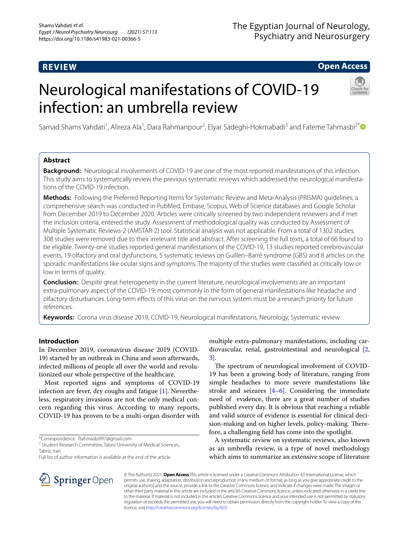# **REVIEW**

# The Egyptian Journal of Neurology, Psychiatry and Neurosurgery

**Open Access**

# Neurological manifestations of COVID-19 infection: an umbrella review



Samad Shams Vahdati<sup>1</sup>, Alireza Ala<sup>1</sup>, Dara Rahmanpour<sup>2</sup>, Elyar Sadeghi-Hokmabadi<sup>3</sup> and Fateme Tahmasbi<sup>2[\\*](http://orcid.org/0000-0002-0652-7693)</sup>

# **Abstract**

**Background:** Neurological involvements of COVID-19 are one of the most reported manifestations of this infection. This study aims to systematically review the previous systematic reviews which addressed the neurological manifestations of the COVID-19 infection.

**Methods:** Following the Preferred Reporting Items for Systematic Review and Meta-Analysis (PRISMA) guidelines, a comprehensive search was conducted in PubMed, Embase, Scopus, Web of Science databases and Google Scholar from December 2019 to December 2020. Articles were critically screened by two independent reviewers and if met the inclusion criteria, entered the study. Assessment of methodological quality was conducted by Assessment of Multiple Systematic Reviews-2 (AMSTAR-2) tool. Statistical analysis was not applicable. From a total of 1302 studies, 308 studies were removed due to their irrelevant title and abstract. After screening the full texts, a total of 66 found to be eligible. Twenty-one studies reported general manifestations of the COVID-19, 13 studies reported cerebrovascular events, 19 olfactory and oral dysfunctions, 5 systematic reviews on Guillen–Barré syndrome (GBS) and 8 articles on the sporadic manifestations like ocular signs and symptoms. The majority of the studies were classifed as critically low or low in terms of quality.

**Conclusion:** Despite great heterogeneity in the current literature, neurological involvements are an important extra-pulmonary aspect of the COVID-19; most commonly in the form of general manifestations like headache and olfactory disturbances. Long-term efects of this virus on the nervous system must be a research priority for future references.

**Keywords:** Corona virus disease 2019, COVID-19, Neurological manifestations, Neurology, Systematic review

# **Introduction**

In December 2019, coronavirus disease 2019 (COVID-19) started by an outbreak in China and soon afterwards, infected millions of people all over the world and revolutionized our whole perspective of the healthcare.

Most reported signs and symptoms of COVID-19 infection are fever, dry coughs and fatigue [[1\]](#page-19-0). Nevertheless, respiratory invasions are not the only medical concern regarding this virus. According to many reports, COVID-19 has proven to be a multi-organ disorder with

\*Correspondence: ftahmasbi997@gmail.com

<sup>2</sup> Student Research Committee, Tabriz University of Medical Sciences, Tabriz, Iran

Full list of author information is available at the end of the article

multiple extra-pulmonary manifestations, including cardiovascular, renal, gastrointestinal and neurological [\[2](#page-19-1), [3\]](#page-19-2).

The spectrum of neurological involvement of COVID-19 has been a growing body of literature, ranging from simple headaches to more severe manifestations like stroke and seizures  $[4-6]$  $[4-6]$ . Considering the immediate need of evidence, there are a great number of studies published every day. It is obvious that reaching a reliable and valid source of evidence is essential for clinical decision-making and on higher levels, policy-making. Therefore, a challenging feld has come into the spotlight.

A systematic review on systematic reviews, also known as an umbrella review, is a type of novel methodology which aims to summarize an extensive scope of literature



© The Author(s) 2021. **Open Access** This article is licensed under a Creative Commons Attribution 4.0 International License, which permits use, sharing, adaptation, distribution and reproduction in any medium or format, as long as you give appropriate credit to the original author(s) and the source, provide a link to the Creative Commons licence, and indicate if changes were made. The images or other third party material in this article are included in the article's Creative Commons licence, unless indicated otherwise in a credit line to the material. If material is not included in the article's Creative Commons licence and your intended use is not permitted by statutory regulation or exceeds the permitted use, you will need to obtain permission directly from the copyright holder. To view a copy of this licence, visit [http://creativecommons.org/licenses/by/4.0/.](http://creativecommons.org/licenses/by/4.0/)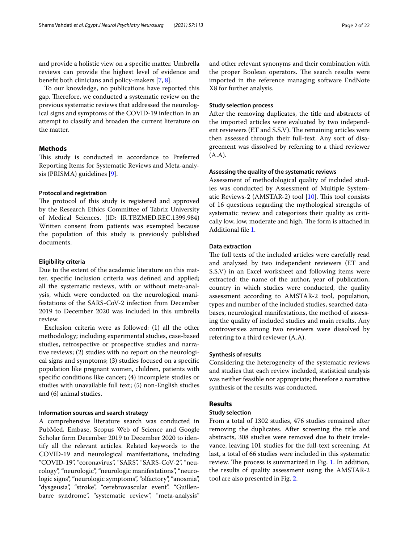and provide a holistic view on a specifc matter. Umbrella reviews can provide the highest level of evidence and beneft both clinicians and policy-makers [[7,](#page-19-5) [8\]](#page-19-6).

To our knowledge, no publications have reported this gap. Therefore, we conducted a systematic review on the previous systematic reviews that addressed the neurological signs and symptoms of the COVID-19 infection in an attempt to classify and broaden the current literature on the matter.

# **Methods**

This study is conducted in accordance to Preferred Reporting Items for Systematic Reviews and Meta-analysis (PRISMA) guidelines [\[9](#page-19-7)].

## **Protocol and registration**

The protocol of this study is registered and approved by the Research Ethics Committee of Tabriz University of Medical Sciences. (ID: IR.TBZMED.REC.1399.984) Written consent from patients was exempted because the population of this study is previously published documents.

# **Eligibility criteria**

Due to the extent of the academic literature on this matter, specifc inclusion criteria was defned and applied; all the systematic reviews, with or without meta-analysis, which were conducted on the neurological manifestations of the SARS-CoV-2 infection from December 2019 to December 2020 was included in this umbrella review.

Exclusion criteria were as followed: (1) all the other methodology; including experimental studies, case-based studies, retrospective or prospective studies and narrative reviews; (2) studies with no report on the neurological signs and symptoms; (3) studies focused on a specifc population like pregnant women, children, patients with specifc conditions like cancer; (4) incomplete studies or studies with unavailable full text; (5) non-English studies and (6) animal studies.

# **Information sources and search strategy**

A comprehensive literature search was conducted in PubMed, Embase, Scopus Web of Science and Google Scholar form December 2019 to December 2020 to identify all the relevant articles. Related keywords to the COVID-19 and neurological manifestations, including "COVID-19", "coronavirus", "SARS", "SARS-CoV-2", "neurology", "neurologic", "neurologic manifestations", "neurologic signs", "neurologic symptoms", "olfactory", "anosmia", "dysgeusia", "stroke", "cerebrovascular event". "Guillenbarre syndrome", "systematic review", "meta-analysis" and other relevant synonyms and their combination with the proper Boolean operators. The search results were imported in the reference managing software EndNote X8 for further analysis.

#### **Study selection process**

After the removing duplicates, the title and abstracts of the imported articles were evaluated by two independent reviewers (F.T and S.S.V). The remaining articles were then assessed through their full-text. Any sort of disagreement was dissolved by referring to a third reviewer (A.A).

# **Assessing the quality of the systematic reviews**

Assessment of methodological quality of included studies was conducted by Assessment of Multiple Systematic Reviews-2 (AMSTAR-2) tool  $[10]$ . This tool consists of 16 questions regarding the mythological strengths of systematic review and categorizes their quality as critically low, low, moderate and high. The form is attached in Additional fle [1](#page-18-0).

# **Data extraction**

The full texts of the included articles were carefully read and analyzed by two independent reviewers (F.T and S.S.V) in an Excel worksheet and following items were extracted: the name of the author, year of publication, country in which studies were conducted, the quality assessment according to AMSTAR-2 tool, population, types and number of the included studies, searched databases, neurological manifestations, the method of assessing the quality of included studies and main results. Any controversies among two reviewers were dissolved by referring to a third reviewer (A.A).

## **Synthesis of results**

Considering the heterogeneity of the systematic reviews and studies that each review included, statistical analysis was neither feasible nor appropriate; therefore a narrative synthesis of the results was conducted.

# **Results**

# **Study selection**

From a total of 1302 studies, 476 studies remained after removing the duplicates. After screening the title and abstracts, 308 studies were removed due to their irrelevance, leaving 101 studies for the full-text screening. At last, a total of 66 studies were included in this systematic review. The process is summarized in Fig. [1](#page-2-0). In addition, the results of quality assessment using the AMSTAR-2 tool are also presented in Fig. [2](#page-3-0).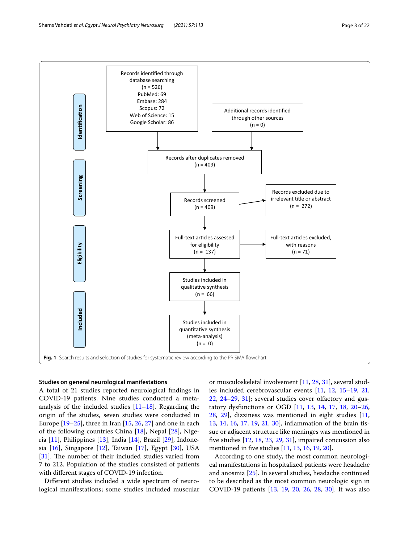



## <span id="page-2-0"></span>**Studies on general neurological manifestations**

A total of 21 studies reported neurological fndings in COVID-19 patients. Nine studies conducted a metaanalysis of the included studies  $[11-18]$  $[11-18]$  $[11-18]$ . Regarding the origin of the studies, seven studies were conducted in Europe [[19–](#page-19-11)[25](#page-19-12)], three in Iran [[15,](#page-19-13) [26](#page-19-14), [27\]](#page-19-15) and one in each of the following countries China [\[18](#page-19-10)], Nepal [[28\]](#page-19-16), Nigeria  $[11]$ , Philippines  $[13]$  $[13]$  $[13]$ , India  $[14]$  $[14]$  $[14]$ , Brazil  $[29]$  $[29]$ , Indonesia [\[16](#page-19-20)], Singapore [[12](#page-19-21)], Taiwan [[17\]](#page-19-22), Egypt [[30](#page-19-23)], USA  $[31]$  $[31]$ . The number of their included studies varied from 7 to 212. Population of the studies consisted of patients with diferent stages of COVID-19 infection.

Diferent studies included a wide spectrum of neurological manifestations; some studies included muscular

or musculoskeletal involvement [[11,](#page-19-9) [28](#page-19-16), [31\]](#page-20-0), several studies included cerebrovascular events [[11,](#page-19-9) [12](#page-19-21), [15](#page-19-13)[–19](#page-19-11), [21](#page-19-24), [22,](#page-19-25) [24](#page-19-26)[–29](#page-19-19), [31\]](#page-20-0); several studies cover olfactory and gustatory dysfunctions or OGD [\[11](#page-19-9), [13](#page-19-17), [14,](#page-19-18) [17,](#page-19-22) [18,](#page-19-10) [20–](#page-19-27)[26](#page-19-14), [28,](#page-19-16) [29](#page-19-19)], dizziness was mentioned in eight studies [[11](#page-19-9), [13,](#page-19-17) [14,](#page-19-18) [16](#page-19-20), [17](#page-19-22), [19,](#page-19-11) [21,](#page-19-24) [30](#page-19-23)], infammation of the brain tissue or adjacent structure like meninges was mentioned in fve studies [[12](#page-19-21), [18](#page-19-10), [23](#page-19-28), [29](#page-19-19), [31](#page-20-0)], impaired concussion also mentioned in fve studies [[11](#page-19-9), [13,](#page-19-17) [16](#page-19-20), [19,](#page-19-11) [20\]](#page-19-27).

According to one study, the most common neurological manifestations in hospitalized patients were headache and anosmia [[25](#page-19-12)]. In several studies, headache continued to be described as the most common neurologic sign in COVID-19 patients [[13,](#page-19-17) [19,](#page-19-11) [20,](#page-19-27) [26,](#page-19-14) [28,](#page-19-16) [30\]](#page-19-23). It was also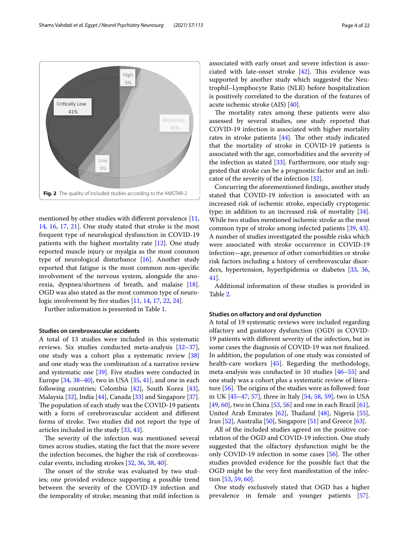<span id="page-3-0"></span>mentioned by other studies with different prevalence [\[11](#page-19-9), [14,](#page-19-18) [16,](#page-19-20) [17](#page-19-22), [21\]](#page-19-24). One study stated that stroke is the most frequent type of neurological dysfunction in COVID-19 patients with the highest mortality rate [[12](#page-19-21)]. One study reported muscle injury or myalgia as the most common type of neurological disturbance [\[16](#page-19-20)]. Another study reported that fatigue is the most common non-specifc involvement of the nervous system, alongside the anorexia, dyspnea/shortness of breath, and malaise [\[18](#page-19-10)]. OGD was also stated as the most common type of neurologic involvement by fve studies [\[11,](#page-19-9) [14](#page-19-18), [17,](#page-19-22) [22](#page-19-25), [24](#page-19-26)].

Further information is presented in Table [1](#page-4-0).

#### **Studies on cerebrovascular accidents**

A total of 13 studies were included in this systematic reviews. Six studies conducted meta-analysis [[32](#page-20-1)[–37](#page-20-2)], one study was a cohort plus a systematic review [[38](#page-20-3)] and one study was the combination of a narrative review and systematic one [[39\]](#page-20-4). Five studies were conducted in Europe [[34,](#page-20-5) [38](#page-20-3)[–40](#page-20-6)], two in USA [\[35](#page-20-7), [41\]](#page-20-8), and one in each following countries; Colombia [\[42](#page-20-9)], South Korea [\[43](#page-20-10)], Malaysia [\[32\]](#page-20-1), India [\[44](#page-20-11)], Canada [\[33](#page-20-12)] and Singapore [\[37](#page-20-2)]. The population of each study was the COVID-19 patients with a form of cerebrovascular accident and diferent forms of stroke. Two studies did not report the type of articles included in the study [[33](#page-20-12), [43\]](#page-20-10).

The severity of the infection was mentioned several times across studies, stating the fact that the more severe the infection becomes, the higher the risk of cerebrovascular events, including strokes [[32,](#page-20-1) [36](#page-20-13), [38](#page-20-3), [40\]](#page-20-6).

The onset of the stroke was evaluated by two studies; one provided evidence supporting a possible trend between the severity of the COVID-19 infection and the temporality of stroke; meaning that mild infection is associated with early onset and severe infection is associated with late-onset stroke  $[42]$  $[42]$ . This evidence was supported by another study which suggested the Neutrophil–Lymphocyte Ratio (NLR) before hospitalization is positively correlated to the duration of the features of acute ischemic stroke (AIS) [\[40\]](#page-20-6).

The mortality rates among these patients were also assessed by several studies, one study reported that COVID-19 infection is associated with higher mortality rates in stroke patients  $[44]$  $[44]$ . The other study indicated that the mortality of stroke in COVID-19 patients is associated with the age, comorbidities and the severity of the infection as stated [\[33](#page-20-12)]. Furthermore, one study suggested that stroke can be a prognostic factor and an indicator of the severity of the infection [[32](#page-20-1)].

Concurring the aforementioned fndings, another study stated that COVID-19 infection is associated with an increased risk of ischemic stroke, especially cryptogenic type; in addition to an increased risk of mortality [\[34](#page-20-5)]. While two studies mentioned ischemic stroke as the most common type of stroke among infected patients [\[39](#page-20-4), [43](#page-20-10)]. A number of studies investigated the possible risks which were associated with stroke occurrence in COVID-19 infection—age, presence of other comorbidities or stroke risk factors including a history of cerebrovascular disorders, hypertension, hyperlipidemia or diabetes [\[33,](#page-20-12) [36](#page-20-13), [41\]](#page-20-8).

Additional information of these studies is provided in Table [2](#page-11-0).

## **Studies on olfactory and oral dysfunction**

A total of 19 systematic reviews were included regarding olfactory and gustatory dysfunction (OGD) in COVID-19 patients with diferent severity of the infection, but in some cases the diagnosis of COVID-19 was not fnalized. In addition, the population of one study was consisted of health-care workers [\[45](#page-20-14)]. Regarding the methodology, meta-analysis was conducted in 10 studies [[46–](#page-20-15)[55\]](#page-20-16) and one study was a cohort plus a systematic review of literature  $[56]$  $[56]$ . The origins of the studies were as followed: four in UK [\[45](#page-20-14)[–47,](#page-20-18) [57\]](#page-20-19), three in Italy [[54,](#page-20-20) [58](#page-20-21), [59](#page-20-22)], two in USA [[49,](#page-20-23) [60](#page-20-24)], two in China [\[53,](#page-20-25) [56](#page-20-17)] and one in each Brazil [\[61](#page-20-26)], United Arab Emirates  $[62]$  $[62]$ , Thailand  $[48]$  $[48]$  $[48]$ , Nigeria  $[55]$  $[55]$ , Iran [\[52](#page-20-29)], Australia [\[50](#page-20-30)], Singapore [\[51](#page-20-31)] and Greece [[63](#page-20-32)].

All of the included studies agreed on the positive correlation of the OGD and COVID-19 infection. One study suggested that the olfactory dysfunction might be the only COVID-19 infection in some cases  $[56]$ . The other studies provided evidence for the possible fact that the OGD might be the very frst manifestation of the infection [[53,](#page-20-25) [59,](#page-20-22) [60](#page-20-24)].

One study exclusively stated that OGD has a higher prevalence in female and younger patients [\[57](#page-20-19)].

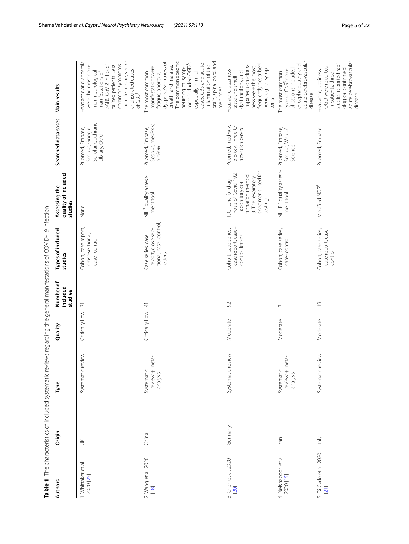<span id="page-4-0"></span>

| í                                                                                                                  |   |
|--------------------------------------------------------------------------------------------------------------------|---|
|                                                                                                                    |   |
|                                                                                                                    |   |
| ֖֖֖֖֖֖֖֖֖֖֧ׅ֖ׅ֖֧֪֪ׅ֖֧֦֪֪֪֧֚֚֚֚֚֚֚֚֚֚֚֚֚֚֚֚֚֚֚֬֝֝֓֝֓֞֓֞֬֓֞֓֡֬                                                       |   |
|                                                                                                                    |   |
|                                                                                                                    |   |
| ï                                                                                                                  |   |
|                                                                                                                    |   |
| $\vdots$                                                                                                           |   |
|                                                                                                                    |   |
| l                                                                                                                  |   |
| l                                                                                                                  |   |
|                                                                                                                    |   |
|                                                                                                                    |   |
|                                                                                                                    |   |
|                                                                                                                    |   |
|                                                                                                                    |   |
|                                                                                                                    |   |
|                                                                                                                    |   |
|                                                                                                                    |   |
|                                                                                                                    |   |
|                                                                                                                    |   |
| ֕                                                                                                                  |   |
|                                                                                                                    |   |
|                                                                                                                    |   |
|                                                                                                                    |   |
| ۱                                                                                                                  |   |
|                                                                                                                    |   |
|                                                                                                                    | j |
|                                                                                                                    |   |
|                                                                                                                    |   |
|                                                                                                                    |   |
|                                                                                                                    | Ì |
|                                                                                                                    |   |
| i<br>١                                                                                                             |   |
| .<br>.<br>.                                                                                                        |   |
|                                                                                                                    |   |
| i                                                                                                                  | l |
|                                                                                                                    |   |
|                                                                                                                    |   |
|                                                                                                                    |   |
| l<br>$\mathbf{I}$<br>֦֧֦֦֦֦֧֧֦֧֧֦֧֧֧֧֪֧֪֪֪֪֪֪֪֪֪֪֪֪֛֚֡֕֝֬֝֬֓֓֬֓֓֕֓֬֝֓֬֝֓֬֝֓֬֝֓֬֝֓֬֝֓֬֓֓֝֬֓֓֝֬֓֓֓֓֝֬֝֓֬֝֓֝֬֝֓֬֝֬֝֓  |   |
|                                                                                                                    |   |
| l<br>$\ddot{\phantom{a}}$                                                                                          |   |
|                                                                                                                    |   |
|                                                                                                                    |   |
|                                                                                                                    |   |
|                                                                                                                    |   |
|                                                                                                                    |   |
| Ì                                                                                                                  |   |
| $\vdots$                                                                                                           |   |
|                                                                                                                    |   |
|                                                                                                                    |   |
|                                                                                                                    |   |
| l                                                                                                                  |   |
|                                                                                                                    |   |
|                                                                                                                    |   |
|                                                                                                                    |   |
| $\overline{\phantom{a}}$                                                                                           |   |
| )                                                                                                                  |   |
|                                                                                                                    |   |
| ֧֧֧ׅ֧ׅ֧֧ׅ֧ׅ֧ׅ֧ׅ֧ׅ֧ׅ֧ׅ֧ׅ֧ׅ֧ׅ֧֧ׅ֧֧֧֧֧֚֚֚֚֚֚֚֚֚֚֚֚֚֚֚֚֚֚֚֚֚֚֚֚֚֚֚֚֚֚֚֚֚֚֜֓֝֓֜֜֓֜֜֜֜֜֜֜֜֜֜<br>$\overline{\phantom{a}}$ |   |
|                                                                                                                    |   |
|                                                                                                                    |   |
| ׇׇ֓֕֡<br>ì                                                                                                         |   |
| l                                                                                                                  |   |
|                                                                                                                    |   |
|                                                                                                                    |   |
|                                                                                                                    |   |
| j                                                                                                                  |   |
| 1                                                                                                                  |   |
| $\frac{1}{2}$<br>l                                                                                                 |   |
| Ī                                                                                                                  |   |
|                                                                                                                    |   |
| ne T                                                                                                               |   |

|                                    | Table 1 The characteristics of included systematic reviews regarding the general manifestations of COVID-19 infection |                                              |                   |                                  |                                                                             |                                                                                                                                            |                                                                         |                                                                                                                                                                                                                                                                                                        |
|------------------------------------|-----------------------------------------------------------------------------------------------------------------------|----------------------------------------------|-------------------|----------------------------------|-----------------------------------------------------------------------------|--------------------------------------------------------------------------------------------------------------------------------------------|-------------------------------------------------------------------------|--------------------------------------------------------------------------------------------------------------------------------------------------------------------------------------------------------------------------------------------------------------------------------------------------------|
| <b>Authors</b>                     | Origin                                                                                                                | Туре                                         | Quality           | Number of<br>included<br>studies | Types of included<br>studies                                                | quality of included<br>Assessing the<br>studies                                                                                            | Searched databases                                                      | <b>Main results</b>                                                                                                                                                                                                                                                                                    |
| 1. Whittaker et al.<br>2020 [25]   | $\leq$                                                                                                                | Systematic review                            | Critically Low    | $\widetilde{\gamma}$             | Cohort, case report,<br>cross-sectional,<br>case-control                    | None                                                                                                                                       | Scholar, Cochrane<br>Pubmed, Embase,<br>Scopus, Google<br>Library, Ovid | include seizure, stroke<br>Headache and anosmia<br>SARS-CoV-2 in hospi-<br>common symptoms<br>talized patients. Less<br>were the most com-<br>and isolated cases<br>mon neurological<br>manifestations of<br>of $GBS1$                                                                                 |
| 2. Wang et al. 2020<br>[18]        | China                                                                                                                 | eta-<br>review + m<br>Systematic<br>analysis | Critically Low 41 |                                  | tional, case-control,<br>report, cross-sec-<br>Case series, case<br>letters | NIH <sup>2</sup> quality assess-<br>ment tool                                                                                              | Scopus, medRxiv,<br>Pubmed, Embase,<br>bioRvix                          | brain, spinal cord, and<br>dyspnea/shortness of<br>The common specific<br>cases. GBS and acute<br>toms included OGD <sup>3</sup><br>inflammation of the<br>breath, and malaise.<br>manifestationswere<br>neurological symp-<br>especially in mild<br>The most common<br>fatigue, anorexia,<br>meninges |
| 3. Chen et al. 2020<br>[20]        | Germany                                                                                                               | Systematic review                            | Moderate          | 92                               | Cohort, case series,<br>case report, case-<br>control, letters              | specimens used for<br>nosis of Covid-192.<br>firmation method<br>3. The respiratory<br>1. Criteria for diag-<br>Laboratory con-<br>testing | bioRxiv, Three Chi-<br>Pubmed, medRxiv,<br>nese databases               | frequently described<br>impaired conscious-<br>ness were the most<br>neurological symp-<br>Headache, dizziness,<br>dysfunctions, and<br>taste and smell<br>toms                                                                                                                                        |
| 4. Neishaboori et al.<br>2020 [15] | lian                                                                                                                  | eta-<br>review + m<br>Systematic<br>analysis | Moderate          | $\overline{ }$                   | Cohort, case series,<br>case-control                                        | NHLBI <sup>4</sup> quality assess-<br>ment tool                                                                                            | Pubmed, Embase,<br>Scopus, Web of<br>Science                            | acute cerebrovascular<br>encephalopathy and<br>plications included<br>type of CNS <sup>5</sup> com-<br>The most common<br>disease                                                                                                                                                                      |
| 5. Di Carlo et al. 2020<br>[21]    | <b>Italy</b>                                                                                                          | Systematic review                            | Moderate          | $\overline{0}$                   | case report, case-<br>Cohort, case series,<br>control                       | Modified NOS <sup>6</sup>                                                                                                                  | Pubmed, Embase                                                          | acute cerebrovascular<br>studies reported radi-<br>OGD were reported<br>ological confirmed<br>Headache, dizziness,<br>in patients, three<br>disease                                                                                                                                                    |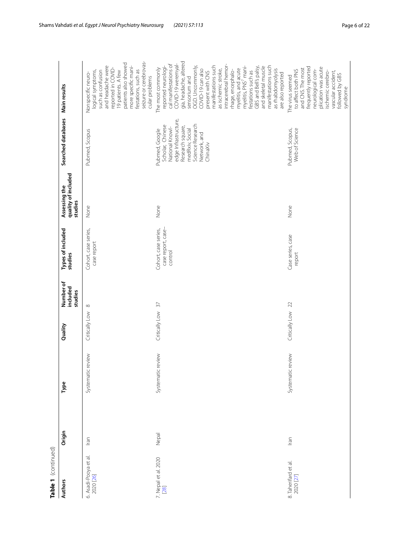| Table 1 (continued)                |        |                   |                   |                                  |                                                       |                                                 |                                                                                                                                                                      |                                                                                                                                                                                                                                                                                                                                                                                                                                                                                             |
|------------------------------------|--------|-------------------|-------------------|----------------------------------|-------------------------------------------------------|-------------------------------------------------|----------------------------------------------------------------------------------------------------------------------------------------------------------------------|---------------------------------------------------------------------------------------------------------------------------------------------------------------------------------------------------------------------------------------------------------------------------------------------------------------------------------------------------------------------------------------------------------------------------------------------------------------------------------------------|
| <b>Authors</b>                     | Origin | Туре              | Quality           | Number of<br>included<br>studies | Types of included<br>studies                          | quality of included<br>Assessing the<br>studies | Searched databases                                                                                                                                                   | Main results                                                                                                                                                                                                                                                                                                                                                                                                                                                                                |
| 6. Asadi-Pooya et al.<br>2020 [26] | Iran   | Systematic review | Critically Low    | $\infty$                         | Cohort, case series,<br>case report                   | None                                            | Pubmed, Scopus                                                                                                                                                       | seizure or cerebrovas-<br>patients also showed<br>and headache were<br>more specific mani-<br>reported in COVID-<br>19 patients. A few<br>festations, such as<br>logical symptoms,<br>such as confusion<br>Nonspecific neuro-<br>cular problems                                                                                                                                                                                                                                             |
| 7. Nepal et al. 2020<br>[28]       | Nepal  | Systematic review | Critically Low 37 |                                  | case report, case-<br>Cohort, case series,<br>control | None                                            | edge Infrastructure,<br>Science Research<br>Scholar, Chinese<br>Research square,<br>National Knowl-<br>medRxiv, Social<br>Pubmed, Google<br>Network, and<br>ChinaXiv | gia, headache, altered<br>cal manifestations of<br>COVID-19 weremyal-<br>intracerebral hemor-<br>manifestations such<br>manifestations such<br>and skeletal muscle<br>OGD. Uncommonly,<br>reported neurologi-<br>myelitis, PNS <sup>7</sup> mani-<br>GBS and Bell's palsy,<br>The most commonly<br>myelitis, and acute<br>COVID-19 can also<br>as ischemic stroke,<br>as rhabdomyolysis<br>mage, encephalo-<br>festations such as<br>present with CNS<br>are also reported<br>sensorium and |
| 8. Taherifard et al.<br>2020 [27]  | lran   | Systematic review | Critically Low 22 |                                  | Case series, case<br>report                           | None                                            | Pubmed, Scopus,<br>Web of Science                                                                                                                                    | frequently reported<br>plication was acute<br>and CNS. The most<br>to affect both PNS<br>neurological com-<br>ischemic cerebro-<br>vascular accident,<br>followed by GBS<br>The virus seemed<br>syndrome                                                                                                                                                                                                                                                                                    |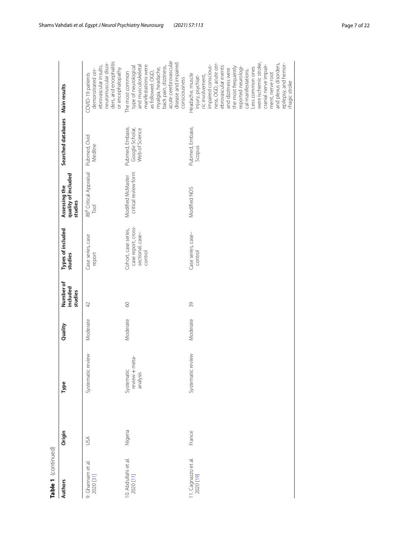| ۳<br>٥ |  |
|--------|--|

| Table 1 (continued)               |            |                                                    |          |                                  |                                                                            |                                                         |                                                      |                                                                                                                                                                                                                                                                                                                                                                                         |
|-----------------------------------|------------|----------------------------------------------------|----------|----------------------------------|----------------------------------------------------------------------------|---------------------------------------------------------|------------------------------------------------------|-----------------------------------------------------------------------------------------------------------------------------------------------------------------------------------------------------------------------------------------------------------------------------------------------------------------------------------------------------------------------------------------|
| <b>Authors</b>                    | Origin     | Type                                               | Quality  | Number of<br>included<br>studies | Types of included<br>studies                                               | quality of included<br>Assessing the<br>studies         | Searched databases Main results                      |                                                                                                                                                                                                                                                                                                                                                                                         |
| 9. Ghannam et al.<br>2020 [31]    | <b>ASU</b> | Systematic review                                  | Moderate | $\overline{4}$                   | Case series, case<br>report                                                | JBI <sup>8</sup> Critical Appraisal<br>$\overline{100}$ | Pubmed, Ovid<br>Medline                              | ders, and encephalitis<br>neuromuscular disor-<br>ebrovascular insults,<br>or encephalopathy<br>demonstrated cer-<br>COVID-19 patients                                                                                                                                                                                                                                                  |
| 10. Abdullahi et al.<br>2020 [11] | Nigeria    | leta-<br>$rev$ iew $+rr$<br>Systematic<br>analysis | Moderate | 60                               | case report, cross-<br>Cohort, case series,<br>sectional, case-<br>control | critical review form<br>Modified McMaster               | Pubmed, Embase,<br>Google Scholar,<br>Web of Science | acute cerebrovascular<br>disease and impaired<br>manifestations were<br>and musculoskeletal<br>type of neurological<br>back pain, dizziness,<br>myalgia, headache,<br>The most common<br>as followed: OGD,<br>consciousness                                                                                                                                                             |
| 11. Cagnazzo et al.<br>2020 [19]  | France     | Systematic review                                  | Moderate | 39                               | Case series, case-<br>control                                              | Modified NOS                                            | Pubmed, Embase,<br>Scopus                            | were ischemic stroke,<br>and plexus disorders,<br>ness, OGD, acute cer-<br>epilepsy, and hemor-<br>cranial nerve impair-<br>impaired conscious-<br>ebrovascular events<br>the most frequently<br>reported neurologi-<br>Less common ones<br>and dizziness were<br>cal manifestations.<br>Headache, muscle<br>ment, nerve root<br>injury, psychiat-<br>ric involvement,<br>rhagic stroke |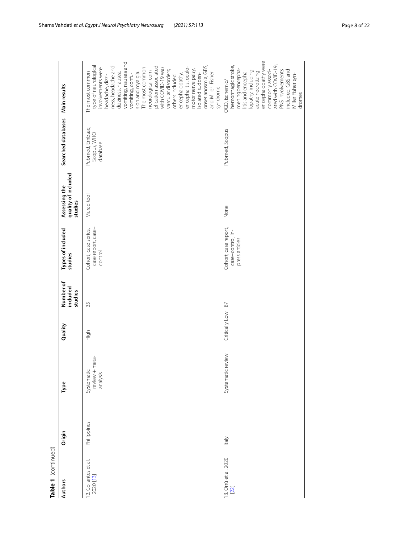| r |
|---|
|   |
|   |
|   |

| Table 1 (continued)               |             |                                          |                   |                                  |                                                             |                                                 |                                            |                                                                                                                                                                                                                                                                                                                                                                                                                                                                           |
|-----------------------------------|-------------|------------------------------------------|-------------------|----------------------------------|-------------------------------------------------------------|-------------------------------------------------|--------------------------------------------|---------------------------------------------------------------------------------------------------------------------------------------------------------------------------------------------------------------------------------------------------------------------------------------------------------------------------------------------------------------------------------------------------------------------------------------------------------------------------|
| <b>Authors</b>                    | Origin      | Type                                     | Quality           | Number of<br>included<br>studies | Types of included<br>studies                                | quality of included<br>Assessing the<br>studies | Searched databases Main results            |                                                                                                                                                                                                                                                                                                                                                                                                                                                                           |
| 12. Collantes et al.<br>2020 [13] | Philippines | review + meta-<br>Systematic<br>analysis | High              | 35                               | case report, case-<br>Cohort, case series,<br>control       | Murad tool                                      | Pubmed, Embase,<br>Scopus, WHO<br>database | vomiting, nausea and<br>type of neurological<br>onset anosmia, GBS,<br>ness, headache and<br>plication associated<br>with COVID-19 was<br>encephalitis, oculo-<br>involvements were<br>The most common<br>neurological com-<br>vascular disorders;<br>motor nerve palsy,<br>The most common<br>dizziness, nausea,<br>sion and myalgia.<br>and Miller-Fisher<br>isolated sudden-<br>vomiting, confu-<br>encephalopathy,<br>headache, dizzi-<br>others included<br>syndrome |
| 13. Orrù et al. 2020<br>[22]      | ltaly       | Systematic review                        | Critically Low 87 |                                  | Cohort, case report,<br>case-control, in-<br>press articles | None                                            | Pubmed, Scopus                             | encephalopathy were<br>ated with COVID-19;<br>hemorrhagic stroke,<br>meningoencepha-<br>commonly associ-<br>lopathy, including<br>PNS involvements<br>included, GBS and<br>litis and encepha-<br>acute necrotizing<br>Miller Fisher syn-<br>OGD, ischemic/<br>dromes                                                                                                                                                                                                      |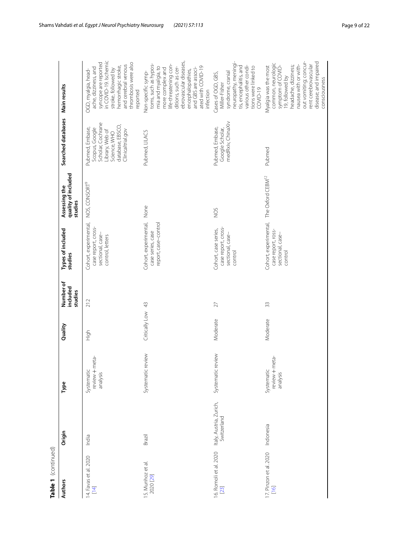| Table 1 (continued)              |                                        |                                          |                   |                                  |                                                                                      |                                                 |                                                                                                                                    |                                                                                                                                                                                                                                                  |
|----------------------------------|----------------------------------------|------------------------------------------|-------------------|----------------------------------|--------------------------------------------------------------------------------------|-------------------------------------------------|------------------------------------------------------------------------------------------------------------------------------------|--------------------------------------------------------------------------------------------------------------------------------------------------------------------------------------------------------------------------------------------------|
| <b>Authors</b>                   | Origin                                 | Type                                     | Quality           | Number of<br>included<br>studies | Types of included<br>studies                                                         | quality of included<br>Assessing the<br>studies | Searched databases Main results                                                                                                    |                                                                                                                                                                                                                                                  |
| 14. Favas et al. 2020<br>$[14]$  | India                                  | review + meta-<br>Systematic<br>analysis | High              | 212                              | Cohort, experimental,<br>case report, cross-<br>sectional, case-<br>control, letters | NOS, CONSORT <sup>9</sup>                       | Scholar, Cochrane<br>database, EBSCO,<br>Pubmed, Embase,<br>Scopus, Google<br>Clinicaltrial.gov<br>Library, Web of<br>Science, WHO | in COVID-19. Ischemic<br>syncope are reported<br>thrombosis were also<br>and cerebral venous<br>hemorrhagic stroke,<br>ache, dizziness, and<br>stroke, followed by<br>OGD, myalgia, head-<br>reported                                            |
| 15. Munhoz et al.<br>2020 [29]   | Brazil                                 | Systematic review                        | Critically Low 43 |                                  | Cohort, experimental, None<br>report, case-control<br>case series, case              |                                                 | Pubmed, LILACS                                                                                                                     | ebrovascular diseases,<br>toms, such as hypos-<br>life-threatening con-<br>ditions, such as cer-<br>mia and myalgia, to<br>ated with COVID-19<br>more complex and<br>and GBS are associ-<br>encephalopathies,<br>Non-specific symp-<br>infection |
| 16. Romoli et al. 2020<br>$[23]$ | Italy, Austria, Zurich,<br>Switzerland | Systematic review                        | Moderate          | 27                               | case report, cross-<br>Cohort, case series,<br>sectional, case-<br>control           | SON                                             | medRxiv, ChinaXiv<br>Pubmed, Embase,<br>Google Scholar,                                                                            | neuropathy, meningi-<br>tis, encephalitis, and<br>various other condi-<br>tions were linked to<br>syndrome, cranial<br>Cases of OGD, GBS,<br>Miller-Fisher<br>$COWID-19$                                                                         |
| 17. Pinzon et al. 2020<br>$[16]$ | Indonesia                              | review + meta-<br>Systematic<br>analysis | Moderate          | 33                               | Cohort, experimental,<br>case report, ross-<br>sectional, case-<br>control           | The Oxford CEBM <sup>12</sup>                   | Pubmed                                                                                                                             | out vomiting; concur-<br>disease; and impaired<br>common, neurologic<br>nausea with or with-<br>rent cerebrovascular<br>headache, dizziness;<br>Wyalgia was the most<br>symptom of COVID-<br>19, followed by<br>consciousness                    |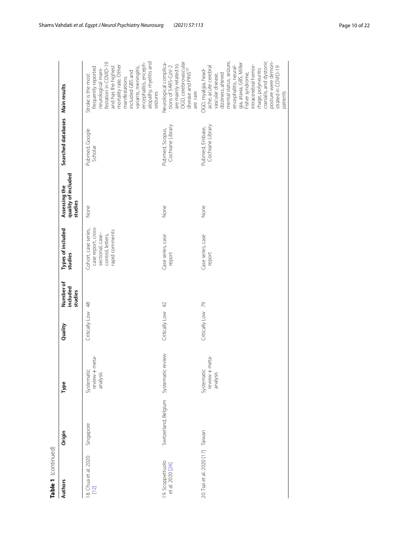| ۷ |
|---|
|   |
|   |
|   |
|   |
|   |
|   |

| Table 1 (continued)                 |                                        |                                          |                   |                                  |                                                                                                        |                                                 |                                     |                                                                                                                                                                                                                                                                                                                    |
|-------------------------------------|----------------------------------------|------------------------------------------|-------------------|----------------------------------|--------------------------------------------------------------------------------------------------------|-------------------------------------------------|-------------------------------------|--------------------------------------------------------------------------------------------------------------------------------------------------------------------------------------------------------------------------------------------------------------------------------------------------------------------|
| <b>Authors</b>                      | Origin                                 | Type                                     | Quality           | Number of<br>included<br>studies | Types of included<br>studies                                                                           | quality of included<br>Assessing the<br>studies | Searched databases Main results     |                                                                                                                                                                                                                                                                                                                    |
| 8. Chua et al. 2020<br>$[12]$       | Singapore                              | review + meta-<br>Systematic<br>analysis | Critically Low 48 |                                  | case report, cross-<br>Cohort, case series,<br>rapid comments<br>sectional, case-<br>control, letters, | None                                            | Pubmed, Google<br>Scholar           | alopathy, myelitis and<br>festation in COVID-19<br>encephalitis, enceph-<br>mortality rate. Other<br>and has the highest<br>frequently reported<br>variants, meningitis,<br>neurological mani-<br>included GBS and<br>Stroke is the most<br>manifestations<br>seizures                                             |
| 9. Scoppettuolo<br>et al. 2020 [24] | Switzerland, Belgium Systematic review |                                          | Critically Low 42 |                                  | Case series, case<br>report                                                                            | None                                            | Cochrane Library<br>Pubmed, Scopus, | OGD, cerebrovascular<br>Neurological complica<br>are mainly related to<br>tions of SARS-CoV-2<br>disease and PINS <sup>10</sup><br>are rare                                                                                                                                                                        |
| 20. Tsai et al. 2020 [17] Taiwan    |                                        | review + meta-<br>Systematic<br>analysis | Critically Low 79 |                                  | Case series, case<br>report                                                                            | None                                            | Cochrane Library<br>Pubmed, Embase, | cranialis, and dystonic<br>posture were demon-<br>mental status, seizure,<br>gia, ataxia, GBS, Miller<br>encephalitis, neural-<br>intracerebral hemor-<br>strated in COVID-19<br>ache, acute cerebral<br>thage, polyneuritis<br>OGD, myalgia, head-<br>Fisher syndrome,<br>dizziness, altered<br>vascular disease, |
|                                     |                                        |                                          |                   |                                  |                                                                                                        |                                                 |                                     | patients                                                                                                                                                                                                                                                                                                           |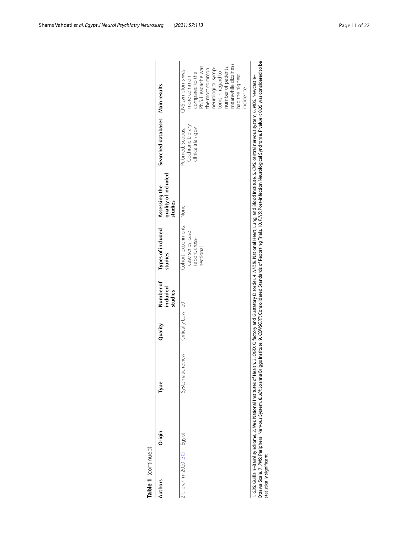|                                           |        |                   | included<br>studies | studies                                                                        | quality of included<br>Assessing the<br>studies | Searched databases Main results                            |                                                                                                                                                                                                                     |
|-------------------------------------------|--------|-------------------|---------------------|--------------------------------------------------------------------------------|-------------------------------------------------|------------------------------------------------------------|---------------------------------------------------------------------------------------------------------------------------------------------------------------------------------------------------------------------|
| Systematic<br>21. Ibrahim 2020 [30] Egypt | review | Critically Low 20 |                     | Cohort, experimental, None<br>case series, case<br>report, cross-<br>sectional |                                                 | Cochrane Library,<br>clinicaltrials.gov<br>Pubmed, Scopus, | meanwhile dizziness<br>PNS. Headache was<br>number of patients,<br>neurological symp-<br>the most common<br>CNS symptoms was<br>toms in regard to<br>compared to the<br>had the highest<br>more common<br>incidence |

| j<br>ry Disorder, 4. NHLBI: National Heart, Lung, and Blood Institute, 5. CNS: central nervous system, 6.<br>d Curtatory<br>the 2 OCD Officers and<br>lu', ɔ.ˈbɔ.ˈs.ˈɔ.ˈn<br>i<br>ا دانشان آن آن                                                 |
|--------------------------------------------------------------------------------------------------------------------------------------------------------------------------------------------------------------------------------------------------|
| . Neurological Syndrome. P value < 0.05 was considered to be<br>"olidated Standards of Reporting Trials. 10. PINS: Post-infection Nu-<br>riggs Institute, 9. CONSORT: Consolio<br>$-20$ $R$ . One can expect<br>A احتمام مناسم 1<br>Craig T DMC. |
| í<br>$\sim$                                                                                                                                                                                                                                      |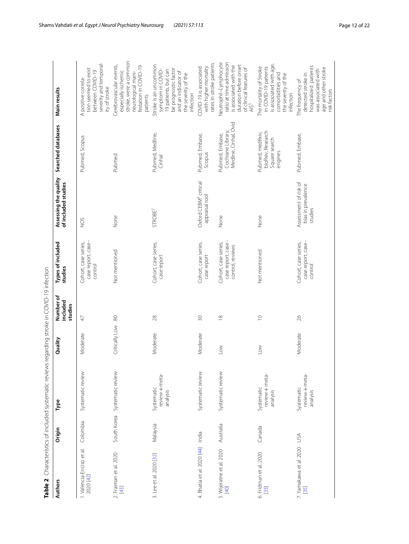<span id="page-11-0"></span>

| í                                                                                           |
|---------------------------------------------------------------------------------------------|
|                                                                                             |
|                                                                                             |
| I                                                                                           |
|                                                                                             |
| J                                                                                           |
| ׇ֧֧֬֕                                                                                       |
| ١                                                                                           |
| I<br>J                                                                                      |
| ç                                                                                           |
|                                                                                             |
| ١                                                                                           |
| $\frac{1}{2}$                                                                               |
|                                                                                             |
|                                                                                             |
| $\ddot{ }$<br>١                                                                             |
|                                                                                             |
| Ì                                                                                           |
| :                                                                                           |
| i<br>$\overline{ }$                                                                         |
| .<br>.<br>.<br>.<br>.<br>j                                                                  |
| l                                                                                           |
| ֖֖֖֪ׅ֪ׅ֪֪ׅ֪֪ׅ֪ׅ֪֪֪ׅ֪֪ׅ֪֪֪֪ׅ֪֪֪֪֪֪֪֪֪֪֪֪֪֪֪֪֪֪֪֪֪֪֪֪֪֚֚֚֚֚֚֚֚֚֚֚֚֚֚֚֚֡֝֝֝֝֝֬֓֓֞֬֝֓֞֬֓֞֬֝֬֝֬֝ |
| l                                                                                           |
| $\overline{a}$                                                                              |
| ;<br>;<br>;<br>;                                                                            |
| ֕                                                                                           |
|                                                                                             |
| l                                                                                           |
| i                                                                                           |
| j                                                                                           |
|                                                                                             |
|                                                                                             |
| l<br>Ì                                                                                      |
| $\overline{\phantom{a}}$<br>֕                                                               |
| ׇ֚֬֕                                                                                        |
|                                                                                             |
| I                                                                                           |
| )                                                                                           |
|                                                                                             |
| J                                                                                           |
|                                                                                             |
|                                                                                             |
|                                                                                             |
|                                                                                             |
|                                                                                             |
|                                                                                             |
| I<br>j                                                                                      |
|                                                                                             |
| ť<br>l                                                                                      |
| <br> <br> <br>ľ                                                                             |
| è                                                                                           |
| f<br>í                                                                                      |
|                                                                                             |

|                                        |           | Table 2 Characteristics of included systematic reviews regarding stroke in COVID-19 infection |                   |                                  |                                                                |                                                        |                                                                   |                                                                                                                                                       |
|----------------------------------------|-----------|-----------------------------------------------------------------------------------------------|-------------------|----------------------------------|----------------------------------------------------------------|--------------------------------------------------------|-------------------------------------------------------------------|-------------------------------------------------------------------------------------------------------------------------------------------------------|
| <b>Authors</b>                         | Origin    | Туре                                                                                          | Quality           | Number of<br>included<br>studies | Types of included<br>studies                                   | Assessing the quality<br>of included studies           | Searched databases                                                | Main results                                                                                                                                          |
| I. Valencia-Enciso et al.<br>2020 [42] | Colombia  | Systematic review                                                                             | Moderate          | 47                               | case report, case-<br>Cohort, case series,<br>control          | SON                                                    | Pubmed, Scopus                                                    | severity and temporal-<br>tion seemed to exist<br>between COVID-19<br>A positive correla-<br>ity of stroke                                            |
| 2. Fraiman et al. 2020<br>$[43]$       |           | South Korea Systematic review                                                                 | Critically Low 80 |                                  | Not mentioned                                                  | None                                                   | Pubmed                                                            | stroke, were a common<br>Cerebrovascular events,<br>festation in COVID-19<br>especially ischemic<br>neurological mani-<br>patients                    |
| 3. Lee et al. 2020 [32]                | Malaysia  | review + meta-<br>Systematic<br>analysis                                                      | Moderate          | 28                               | Cohort, case series,<br>case report                            | STROBE <sup>2</sup>                                    | Pubmed, Medline,<br>Cinhal                                        | Stroke is an uncommon<br>be prognostic factor<br>symptom in COVID-<br>19 patients, but can<br>and an indicator of<br>the severity of the<br>infection |
| 4. Bhatia et al. 2020 [44] India       |           | Systematic review                                                                             | Moderate          | 50                               | Cohort, case series,<br>case report                            | Oxford CEBM <sup>3</sup> critical<br>appraisal tool    | Pubmed, Embase,<br>Scopus                                         | rates in stroke patients<br>with higher mortality<br>COVID-19 is associated                                                                           |
| 5. Wijeratne et al. 2020<br>[40]       | Australia | Systematic review                                                                             | $\geq$            | $\frac{8}{18}$                   | case report, case-<br>Cohort, case series,<br>control, reviews | None                                                   | Medline, Cinhal, Ovid<br>Cochrane Library<br>Pubmed, Embase,      | Neutrophil-Lymphocyte<br>ratio at time admission<br>duration before onset<br>is associated with the<br>of clinical features of<br>AlS <sup>3</sup>    |
| 6. Fridman et al. 2020<br>$[33]$       | Canada    | review + meta-<br>Systematic<br>analysis                                                      | $\geq$            | $\supseteq$                      | Not mentioned                                                  | None                                                   | bioRxiv, Research<br>Pubmed, medRxiv,<br>Square search<br>engines | is associated with age,<br>The mortality of Stroke<br>in COVID-19 patients<br>the severity of the<br>comorbidities and<br>infection                   |
| 7. Yamakawa et al. 2020 USA<br>35      |           | review + meta-<br>Systematic<br>analysis                                                      | Moderate          | 26                               | case report, case-<br>Cohort, case series,<br>control          | Assessment of risk of<br>bias in prevalence<br>studies | Pubmed, Embase,                                                   | hospitalized patients<br>age and other stroke<br>was associated with<br>detected stroke in<br>The frequency of<br>risk factors                        |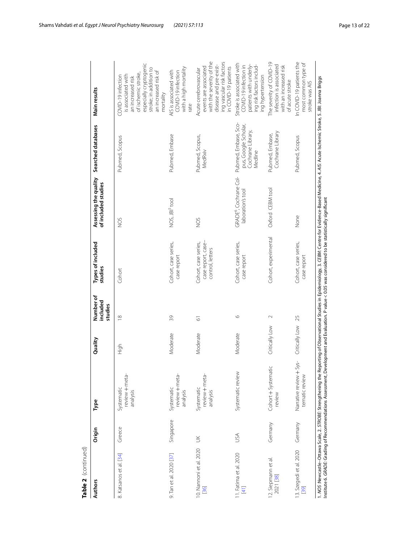| Table 2  (continued)                       |           |                                                                                                                                                                                                                                                                                                                                                                          |                   |                                  |                                                                |                                                         |                                                                              |                                                                                                                                                                               |
|--------------------------------------------|-----------|--------------------------------------------------------------------------------------------------------------------------------------------------------------------------------------------------------------------------------------------------------------------------------------------------------------------------------------------------------------------------|-------------------|----------------------------------|----------------------------------------------------------------|---------------------------------------------------------|------------------------------------------------------------------------------|-------------------------------------------------------------------------------------------------------------------------------------------------------------------------------|
| <b>Authors</b>                             | Origin    | Type                                                                                                                                                                                                                                                                                                                                                                     | Quality           | Number of<br>included<br>studies | Types of included<br>studies                                   | Assessing the quality<br>of included studies            | Searched databases                                                           | Main results                                                                                                                                                                  |
| 8. Katsanos et al. [34]                    | Greece    | review + meta-<br>Systematic<br>analysis                                                                                                                                                                                                                                                                                                                                 | High              | $\frac{8}{1}$                    | Cohort                                                         | ğ                                                       | Pubmed, Scopus                                                               | especially cryptogenic<br>stroke; in addition to<br>an increased risk of<br>of ischemic stroke,<br>is associated with<br>COVID-19 infection<br>an increased risk<br>mortality |
| 9. Tan et al. 2020 [37]                    | Singapore | review + meta-<br>Systematic<br>analysis                                                                                                                                                                                                                                                                                                                                 | Moderate          | 39                               | Cohort, case series,<br>case report                            | NOS, JBI <sup>5</sup> tool                              | Pubmed, Embase                                                               | with a high mortality<br>AIS is associated with<br>COVID-19 infection<br>rate                                                                                                 |
| 10. Nannoni et al. 2020<br>$\overline{56}$ | $\leq$    | review + meta-<br>Systematic<br>analysis                                                                                                                                                                                                                                                                                                                                 | Moderate          | $\overline{\circ}$               | case report, case-<br>Cohort, case series,<br>control, letters | ğ                                                       | Pubmed, Scopus,<br>MedRxiv                                                   | with the severity of the<br>ing vascular risk factors<br>disease and pre-exist-<br>events are associated<br>in COVID-19 patients<br>Acute cerebrovascular                     |
| 11. Fatima et al. 2020<br>$[4]$            | USA       | Systematic review                                                                                                                                                                                                                                                                                                                                                        | Moderate          | $\circ$                          | Cohort, case series,<br>case report                            | GRADE <sup>6</sup> , Cochrane Col-<br>laboration's tool | Pubmed, Embase, Sco-<br>pus, Google Scholar,<br>Cochrane Library,<br>Medline | Stroke is associated with<br>patients with underly-<br>ing risk factors includ-<br>COVID-19 infection in<br>ing hypertension                                                  |
| 12. Siepmann et al.<br>2021 [38]           | Germany   | Cohort + Systematic<br>review                                                                                                                                                                                                                                                                                                                                            | Critically Low    | $\sim$                           | Cohort, experimental                                           | Oxford CEBM tool                                        | Cochrane Library<br>Pubmed, Embase,                                          | The severity of COVID-19<br>infection is associated<br>with an increased risk<br>of acute stroke                                                                              |
| 13. Szegedi et al. 2020<br>[39]            | Germany   | -Sys-<br>Narrative review +<br>tematic review                                                                                                                                                                                                                                                                                                                            | Critically Low 25 |                                  | Cohort, case series,<br>case report                            | None                                                    | Pubmed, Scopus                                                               | In COVID-19 patients the<br>most common type of<br>stroke was AIS                                                                                                             |
|                                            |           | 1. NOS Newcastle-Ottawa Scale, 2. STROBE: Strengthening the Reporting of Observational Studies in Epidemiology, 3. CEBM: Centre for Evidence-Based Medicine, 4. AlS: Acute Ischemic Stroke, 5. JBI: Joanna Briggs<br>nstitute 6. GRADE: Grading of Recommendations Assessment, Development and Evaluation. P value < 0.05 was considered to be statistically significant |                   |                                  |                                                                |                                                         |                                                                              |                                                                                                                                                                               |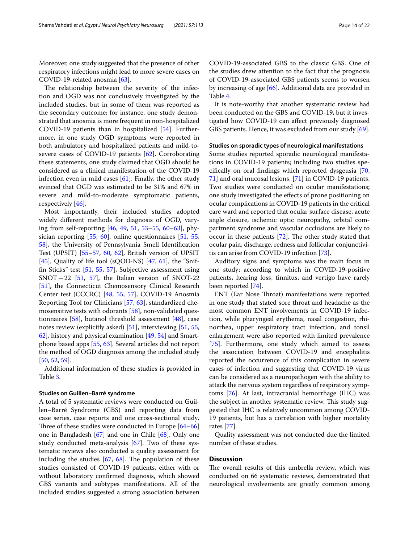Moreover, one study suggested that the presence of other respiratory infections might lead to more severe cases on COVID-19-related anosmia [[63\]](#page-20-32).

The relationship between the severity of the infection and OGD was not conclusively investigated by the included studies, but in some of them was reported as the secondary outcome; for instance, one study demonstrated that anosmia is more frequent in non-hospitalized COVID-19 patients than in hospitalized [[54](#page-20-20)]. Furthermore, in one study OGD symptoms were reported in both ambulatory and hospitalized patients and mild-tosevere cases of COVID-19 patients [\[62](#page-20-27)]. Corroborating these statements, one study claimed that OGD should be considered as a clinical manifestation of the COVID-19 infection even in mild cases  $[61]$  $[61]$ . Finally, the other study evinced that OGD was estimated to be 31% and 67% in severe and mild-to-moderate symptomatic patients, respectively [[46](#page-20-15)].

Most importantly, their included studies adopted widely diferent methods for diagnosis of OGD, varying from self-reporting [\[46](#page-20-15), [49,](#page-20-23) [51](#page-20-31), [53–](#page-20-25)[55,](#page-20-16) [60](#page-20-24)[–63\]](#page-20-32), physician reporting [\[55,](#page-20-16) [60](#page-20-24)], online questionnaires [\[51](#page-20-31), [55](#page-20-16), [58\]](#page-20-21), the University of Pennsylvania Smell Identifcation Test (UPSIT) [\[55–](#page-20-16)[57,](#page-20-19) [60,](#page-20-24) [62\]](#page-20-27), British version of UPSIT [[45\]](#page-20-14), Quality of life tool (sQOD-NS) [\[47,](#page-20-18) [61\]](#page-20-26), the "Sniffn Sticks" test [[51,](#page-20-31) [55](#page-20-16), [57\]](#page-20-19), Subjective assessment using SNOT−22 [\[51](#page-20-31), [57\]](#page-20-19), the Italian version of SNOT-22 [[51\]](#page-20-31), the Connecticut Chemosensory Clinical Research Center test (CCCRC) [[48,](#page-20-28) [55,](#page-20-16) [57](#page-20-19)], COVID-19 Anosmia Reporting Tool for Clinicians [[57,](#page-20-19) [63\]](#page-20-32), standardized chemosensitive tests with odorants [\[58](#page-20-21)], non-validated questionnaires [[58\]](#page-20-21), butanol threshold assessment [\[48\]](#page-20-28), case notes review (explicitly asked) [\[51](#page-20-31)], interviewing [\[51](#page-20-31), [55](#page-20-16), [62\]](#page-20-27), history and physical examination [[49,](#page-20-23) [54](#page-20-20)] and Smartphone based apps [[55,](#page-20-16) [63](#page-20-32)]. Several articles did not report the method of OGD diagnosis among the included study [[50,](#page-20-30) [52](#page-20-29), [59](#page-20-22)].

Additional information of these studies is provided in Table [3](#page-14-0).

## **Studies on Guillen–Barré syndrome**

A total of 5 systematic reviews were conducted on Guillen–Barré Syndrome (GBS) and reporting data from case series, case reports and one cross-sectional study**.** Three of these studies were conducted in Europe  $[64-66]$  $[64-66]$  $[64-66]$ one in Bangladesh [[67\]](#page-20-35) and one in Chile [\[68](#page-20-36)]. Only one study conducted meta-analysis [\[67](#page-20-35)]. Two of these systematic reviews also conducted a quality assessment for including the studies  $[67, 68]$  $[67, 68]$  $[67, 68]$  $[67, 68]$ . The population of these studies consisted of COVID-19 patients, either with or without laboratory confrmed diagnosis, which showed GBS variants and subtypes manifestations. All of the included studies suggested a strong association between

COVID-19-associated GBS to the classic GBS. One of the studies drew attention to the fact that the prognosis of COVID-19-associated GBS patients seems to worsen by increasing of age [[66\]](#page-20-34). Additional data are provided in Table [4](#page-17-0).

It is note-worthy that another systematic review had been conducted on the GBS and COVID-19, but it investigated how COVID-19 can afect previously diagnosed GBS patients. Hence, it was excluded from our study [\[69](#page-20-37)].

#### **Studies on sporadic types of neurological manifestations**

Some studies reported sporadic neurological manifestations in COVID-19 patients; including two studies specifcally on oral fndings which reported dysgeusia [[70](#page-20-38), [71\]](#page-20-39) and oral mucosal lesions, [\[71](#page-20-39)] in COVID-19 patients. Two studies were conducted on ocular manifestations; one study investigated the efects of prone positioning on ocular complications in COVID-19 patients in the critical care ward and reported that ocular surface disease, acute angle closure, ischemic optic neuropathy, orbital compartment syndrome and vascular occlusions are likely to occur in these patients  $[72]$  $[72]$  $[72]$ . The other study stated that ocular pain, discharge, redness and follicular conjunctivitis can arise from COVID-19 infection [\[73](#page-21-1)].

Auditory signs and symptoms was the main focus in one study; according to which in COVID-19-positive patients, hearing loss, tinnitus, and vertigo have rarely been reported [[74\]](#page-21-2).

ENT (Ear Nose Throat) manifestations were reported in one study that stated sore throat and headache as the most common ENT involvements in COVID-19 infection, while pharyngeal erythema, nasal congestion, rhinorrhea, upper respiratory tract infection, and tonsil enlargement were also reported with limited prevalence [[75\]](#page-21-3). Furthermore, one study which aimed to assess the association between COVID-19 and encephalitis reported the occurrence of this complication in severe cases of infection and suggesting that COVID-19 virus can be considered as a neuropathogen with the ability to attack the nervous system regardless of respiratory symptoms [[76\]](#page-21-4). At last, intracranial hemorrhage (IHC) was the subject in another systematic review. This study suggested that IHC is relatively uncommon among COVID-19 patients, but has a correlation with higher mortality rates [[77\]](#page-21-5).

Quality assessment was not conducted due the limited number of these studies.

# **Discussion**

The overall results of this umbrella review, which was conducted on 66 systematic reviews, demonstrated that neurological involvements are greatly common among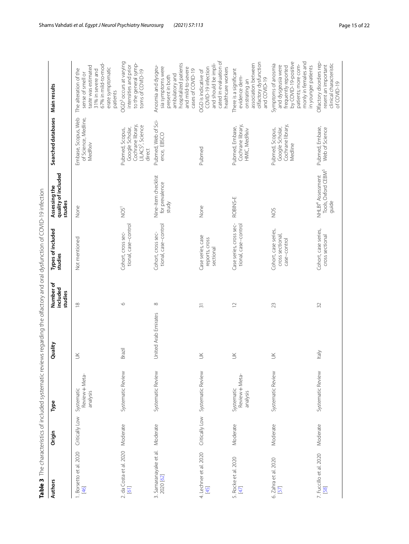<span id="page-14-0"></span>

| S                             |
|-------------------------------|
| Ò<br>l                        |
| j                             |
|                               |
|                               |
|                               |
| ¢                             |
|                               |
| l<br>l                        |
|                               |
| I<br>֚֬֓                      |
| ۱                             |
| $\frac{1}{2}$                 |
|                               |
| ļ<br>Ò                        |
|                               |
|                               |
|                               |
|                               |
| ׇ֬֘֡                          |
| l                             |
|                               |
| ¢<br>ï<br>j                   |
| J<br>¢                        |
| ī<br>$\overline{2}$           |
| I                             |
| ¢<br>j                        |
|                               |
| Ċ<br>١                        |
|                               |
|                               |
|                               |
|                               |
|                               |
|                               |
| ĭ<br>ְה                       |
| ļ                             |
| ì<br>$\overline{\phantom{a}}$ |
| ś<br>ı<br>٩                   |
| ֚֬֕<br>١<br>)<br>]            |
| in a si<br>l                  |
|                               |
|                               |
| Ï<br>J<br>۱                   |
| ֧֦֧֢֧֦֧֢ׅ֖֚֚֚֚֚֬              |
| ļ<br>1                        |
| $\overline{1}$                |
|                               |
|                               |
| i                             |
| Ì<br>j<br>۱<br>j              |
| l                             |
| ֠                             |
| ī<br>l                        |
| ï<br>1                        |
|                               |
|                               |
| ī                             |
|                               |
|                               |
|                               |
| I                             |
| $\overline{a}$                |
| $\frac{1}{2}$                 |
| 1                             |
| í<br>j                        |
|                               |
|                               |
|                               |
|                               |
| Ó                             |
| į<br>F                        |
|                               |
| Table 3                       |
|                               |
|                               |
|                               |
| l                             |

| <b>Authors</b>                           | Origin         | Туре                                     | Quality              | Number of<br>included<br>studies | Types of included<br>studies                             | quality of included<br>Assessing the<br>studies                           | Searched databases                                                                                 | Main results                                                                                                                                                   |
|------------------------------------------|----------------|------------------------------------------|----------------------|----------------------------------|----------------------------------------------------------|---------------------------------------------------------------------------|----------------------------------------------------------------------------------------------------|----------------------------------------------------------------------------------------------------------------------------------------------------------------|
| 1. Borsetto et al. 2020<br>[46]          | Critically Low | Review + Meta-<br>Systematic<br>analysis | $\leq$               | $\frac{8}{10}$                   | Not mentioned                                            | None                                                                      | Embase, Scopus, Web<br>of Science, Medline,<br>MedRxiv                                             | 67% in mild-to-mod-<br>taste was estimated<br>erate symptomatic<br>The alteration of the<br>31% in severe and<br>sense of smell or<br>patients                 |
| 2. da Costa et al. 2020 Moderate<br>[61] |                | Systematic Review                        | Brazil               | $\circ$                          | tional, case-control<br>Cohort, cross sec-               | NOS <sup>1</sup>                                                          | Cochrane library,<br>LILACS <sup>2</sup> , Science<br>Google Scholar,<br>Pubmed, Scopus,<br>direct | OGD <sup>3</sup> occurs at varying<br>to the general symp-<br>intensities and prior<br>toms of COVID-19                                                        |
| 3. Samaranayake et al.<br>2020 [62]      | Moderate       | Systematic Review                        | United Arab Emirates | $\infty$                         | tional, case-control<br>Cohort, cross sec-               | Nine-item checklist<br>for prevalence<br>study                            | Pubmed, Web of Sci-<br>ence, EBSCO                                                                 | hospitalized patients<br>Anosmia and dysgeu-<br>sia symptoms were<br>and mild-to-severe<br>cases of COVID-19<br>ambulatory and<br>present in both              |
| 4. Lechner et al. 2020<br>$[45]$         | Critically Low | Systematic Review                        | $\leq$               | $\overline{31}$                  | Case series, case<br>reports, cross<br>sectional         | None                                                                      | Pubmed                                                                                             | cated in evaluation of<br>and should be impli-<br>COVID-19 infection<br>health care workers<br>OGD is indicative of                                            |
| 5. Rocke et al. 2020<br>[47]             | Moderate       | Review + Meta-<br>Systematic<br>analysis | $\leq$               | $\overline{C}$                   | Case series, cross sec-<br>tional, case-control          | ROBINS-E                                                                  | Cochrane library,<br>Pubmed, Embase,<br>HMIC, MedRxiv                                              | olfactory dysfunction<br>association between<br>There is a significant<br>evidence dem-<br>and COVID-19<br>onstrating an                                       |
| 6. Zahra et al. 2020<br>[57]             | Moderate       | Systematic Review                        | š                    | 23                               | Cohort, case series,<br>cross sectional,<br>case-control | SON                                                                       | Cochrane library,<br>Google Scholar,<br>Pubmed, Scopus,<br>Medline                                 | by COVID-19-positive<br>monly in females and<br>Symptoms of anosmia<br>and dysgeusia were<br>patients; more com-<br>frequently reported<br>in younger patients |
| 7. Fuccillo et al. 2020<br>58            | Moderate       | Systematic Review                        | ltaly                | 32                               | Cohort, case series,<br>cross sectional                  | Tools, Oxford CEBM <sup>5</sup><br>NHLBI <sup>4</sup> Assessment<br>guide | Pubmed, Embase,<br>Web of Science                                                                  | Olfactory disorders rep-<br>clinical characteristic<br>resent an important<br>of COVID-19                                                                      |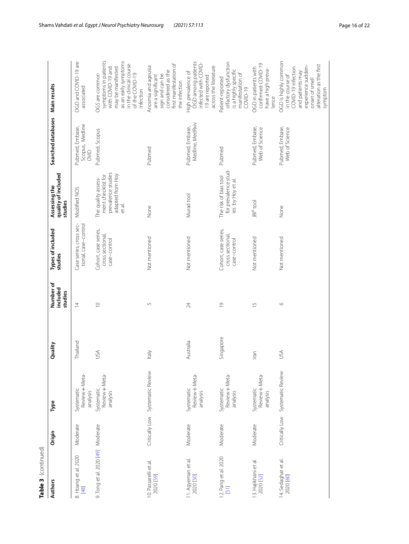| Table 3 (continued)                |          |                                          |              |                                  |                                                              |                                                                                               |                                            |                                                                                                                |
|------------------------------------|----------|------------------------------------------|--------------|----------------------------------|--------------------------------------------------------------|-----------------------------------------------------------------------------------------------|--------------------------------------------|----------------------------------------------------------------------------------------------------------------|
| <b>Authors</b>                     | Origin   | Type                                     | Quality      | Number of<br>included<br>studies | Types of included<br>studies                                 | quality of included<br>studies<br>Assessing the                                               | Searched databases Main results            |                                                                                                                |
| 8. Hoang et al. 2020<br>[48]       | Moderate | Review + Meta-<br>Systematic<br>analysis | Thailand     |                                  | Case series, cross sec- Modified NOS<br>tional, case-control |                                                                                               | Scopus, Medline<br>OVID<br>Pubmed, Embase, | OGD and CO<br>associated                                                                                       |
| 9. Tong et al. 2020 [49] Moderate  |          | Systematic<br>Review + Meta-<br>analysis | SÁ           |                                  | Cohort, case series,<br>cross sectional,<br>case-control     | prevalence studies<br>adapted from Hoy<br>ment checklist for<br>The quality assess-<br>et al. | Pubmed, Scopus                             | OGS are com<br>symptoms<br>with COVIE<br>may be ma<br>as an early<br>in the clinic<br>of the COVI<br>infection |
| 10. Passarelli et al.<br>2020 [59] |          | Critically Low Systematic Review         | <b>Italy</b> |                                  | Not mentioned                                                | None                                                                                          | Pubmed                                     | Anosmia and<br>are a signifi<br>sign and ca<br>considered<br>first manife<br>the infectic                      |

| Origin   | Type                                     | Quality   | Number of<br>included<br>studies | Types of included<br>studies                             | quality of included<br>Assessing the<br>studies                                               | Searched databases                         | <b>Main results</b>                                                                                                                                                |
|----------|------------------------------------------|-----------|----------------------------------|----------------------------------------------------------|-----------------------------------------------------------------------------------------------|--------------------------------------------|--------------------------------------------------------------------------------------------------------------------------------------------------------------------|
| Moderate | Review + Meta-<br>Systematic<br>analysis | Thailand  | $\overline{4}$                   | Case series, cross sec-<br>tional, case-control          | Modified NOS                                                                                  | Scopus, Medline<br>Pubmed, Embase,<br>OVID | OGD and COVID-19 are<br>associated                                                                                                                                 |
| Moderate | Review + Meta-<br>Systematic<br>analysis | USA       | $\supseteq$                      | Cohort, case series,<br>cross sectional,<br>case-control | prevalence studies<br>adapted from Hoy<br>ment checklist for<br>The quality assess-<br>et al. | Pubmed, Scopus                             | symptoms in patients<br>as an early symptoms<br>in the clinical course<br>with COVID-19 and<br>may be manifested<br>of the COVID-19<br>OGS are common<br>infection |
|          | Critically Low Systematic Review         | ltaly     | 5                                | Not mentioned                                            | None                                                                                          | Pubmed                                     | first manifestation of<br>Anosmia and ageusia<br>considered as the<br>sign and can be<br>are a significant<br>the infection                                        |
| Moderate | Review + Meta-<br>Systematic<br>analysis | Australia | 24                               | Not mentioned                                            | Murad tool                                                                                    | Medline, MedRxiv<br>Pubmed, Embase,        | OGD among patients<br>infected with COVID-<br>across the literature<br>High prevalence of<br>19 are reported                                                       |
| Moderate | Review + Meta-<br>Systematic<br>analysis | Singapore | $\overline{0}$                   | Cohort, case series,<br>cross sectional,<br>case-control | for prevalence stud-<br>The risk of bias tool<br>ies by Hoy et al.                            | Pubmed                                     | offactory dysfunction<br>is a highly specific<br>manifestation of<br>Patient-reported<br>$COWID-19$                                                                |
| Moderate | Review + Meta-<br>Systematic<br>analysis | Iran      | $\overline{15}$                  | Not mentioned                                            | JBI <sup>6</sup> tool                                                                         | Pubmed, Embase,<br>Web of Science          | confirmed COVID-19<br>OGD in patients with<br>have a high preva-<br>lence                                                                                          |
|          | Critically Low Systematic Review         | ΑSΛ       | $\circ$                          | Not mentioned                                            | None                                                                                          | Pubmed, Embase,<br>Web of Science          | OGD is highly common<br>alteration as the first<br>experience sudden-<br>COVID-19 infection<br>and patients may<br>in the course of<br>onset of smell<br>symptom   |

11. Agyeman et al. 11. Agyeman et al.<br>2020 [[50\]](#page-20-30)

12. Pang et al. 2020 12. Pang et al. 2020<br>[\[51](#page-20-31)]

13. Hajikhani et al. 13. Hajikhani et al.<br>2020 [[52\]](#page-20-29)

14. Sedaghat et al. 14. Sedaghat et al.<br>2020 [[60\]](#page-20-24)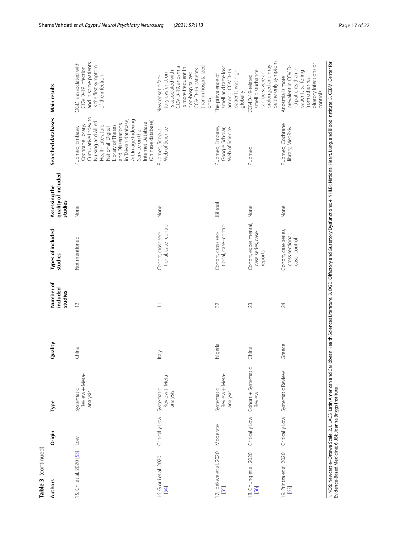| Table 3 (continued)              |                |                                              |         |                                  |                                                          |                                                 |                                                                                                                                                                                                                                                                                 |                                                                                                                                                                                 |
|----------------------------------|----------------|----------------------------------------------|---------|----------------------------------|----------------------------------------------------------|-------------------------------------------------|---------------------------------------------------------------------------------------------------------------------------------------------------------------------------------------------------------------------------------------------------------------------------------|---------------------------------------------------------------------------------------------------------------------------------------------------------------------------------|
| <b>Authors</b>                   | Origin         | Type                                         | Quality | Number of<br>included<br>studies | Types of included<br>studies                             | quality of included<br>Assessing the<br>studies | Searched databases                                                                                                                                                                                                                                                              | Main results                                                                                                                                                                    |
| 15. Chi et al. 2020 [53]         | Low            | Systematic<br>Review + Meta-<br>analysis     | China   | $\overline{C}$                   | Not mentioned                                            | None                                            | Cumulative Index to<br>in Taiwan database,<br>Art Image Indexing<br>(Chinese database)<br>Nursing and Allied<br>Internet Database<br>and Dissertations<br>Cochrane library,<br>Health Literature,<br>Library of Theses<br>National Digital<br>Pubmed, Embase,<br>Service on the | OGD is associated with<br>and in some patients<br>is the first symptom<br>COVID-19 infection<br>of the infection                                                                |
| 16. Giorli et al. 2020<br>$[54]$ | Critically Low | Review + Meta-<br>Systematic<br>analysis     | ltaly   | $\equiv$                         | tional, case-control<br>Cohort, cross sec-               | None                                            | Web of Science<br>Pubmed, Scopus,                                                                                                                                                                                                                                               | than in hospitalized<br>COVID-19, anosmia<br>is more frequent in<br>COVID-19 patients<br>is associated with<br>non-hospitalized<br>tory dysfunction<br>New onset olfac-<br>ones |
| 17. Ibekwe et al. 2020<br>[55]   | Moderate       | Review + Meta-<br>Systematic<br>analysis     | Nigeria | 32                               | tional, case-control<br>Cohort, cross sec-               | JBI tool                                        | Pubmed, Embase,<br>Google Scholar,<br>Web of Science                                                                                                                                                                                                                            | smell and taste loss<br>among COVID-19<br>patients was high<br>The prevalence of<br>globally                                                                                    |
| 18. Chung et al. 2020<br>[56]    |                | Critically Low Cohort + Systematic<br>Review | China   | 23                               | Cohort, experimental,<br>case series, case<br>reports    | None                                            | Pubmed                                                                                                                                                                                                                                                                          | be the only symptom<br>prolonged and may<br>can be severe and<br>smell disturbance<br>COVID-19-related                                                                          |
| 19. Printza et al. 2020<br>[63]  |                | Critically Low Systematic Review             | Greece  | 24                               | Cohort, case series,<br>cross sectional,<br>case-control | None                                            | Pubmed, Cochrane<br>library, MedRxiv                                                                                                                                                                                                                                            | piratory infections or<br>prevalent in COVID-<br>19 patients than in<br>patients suffering<br>Anosmia is more<br>from other res-<br>controls                                    |
|                                  |                |                                              |         |                                  |                                                          |                                                 |                                                                                                                                                                                                                                                                                 |                                                                                                                                                                                 |

1. NOS: Newcastle–Ottawa Scale, 2. LILACS: Latin American and Caribbean Health Sciences Literature; 3. OGD: Olfactory and Gustatory Dysfunctions; 4. NHLBI: National Heart, Lung, and Blood Institute; 5. CEBM: Center for<br>Evi 1. NOS: Newcastle–Ottawa Scale, 2. LILACS: Latin American and Caribbean Health Sciences Literature; 3. OGD: Olfactory and Gustatory Dysfunctions; 4. NHLBI: National Heart, Lung, and Blood Institute; 5. CEBM: Center for Evidence-Based Medicine; 6. JBI: Joanna Briggs Institute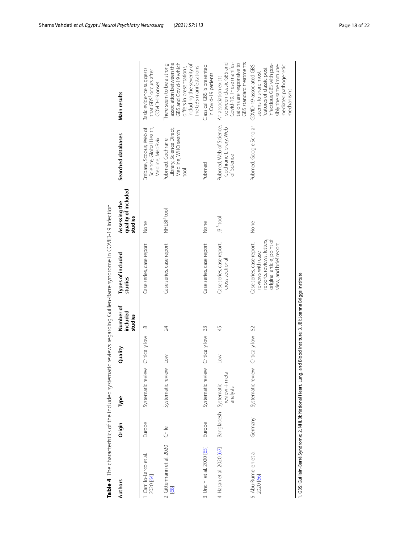|                                     | Main result.                         |
|-------------------------------------|--------------------------------------|
|                                     | Searched databases                   |
| うりりり                                | quality of included<br>Assessing the |
| scribed in CONCU infactor           | Types of included<br>studies         |
| - Anti-Double Capple - Prince       | lumber oʻ<br>ncluded                 |
| ;<br>+<br>+                         | .<br>;                               |
| こりこう<br>₹<br>J<br>j<br>i            | ğ                                    |
| is a set<br>j<br>j<br>$\frac{1}{2}$ | rinin                                |
|                                     |                                      |

|                                      |                       |                            |                   | included<br>studies | studies                                                                                                                              | quality of included<br>studies |                                                                             |                                                                                                                                                                          |
|--------------------------------------|-----------------------|----------------------------|-------------------|---------------------|--------------------------------------------------------------------------------------------------------------------------------------|--------------------------------|-----------------------------------------------------------------------------|--------------------------------------------------------------------------------------------------------------------------------------------------------------------------|
| . Carrillo-Larco et al.<br>2020 [64] | Europe                | Systematic review          | Critically low    | $\infty$            | Case series, case report                                                                                                             | None                           | Science, Global Health,<br>Embase, Scopus, Web of<br>Medline, MedRvix       | Basic evidence suggests<br>that GBS <sup>1</sup> occurs after<br>COVID-19 onset                                                                                          |
| 2. Gittermann et al. 2020<br>[68]    | Chile                 | Systematic review          | $\geq$            | 24                  | Case series, case report                                                                                                             | NHLBI <sup>2</sup> tool        | Library, Science Direct,<br>Medline, WHO search<br>Pubmed, Cochrane<br>lool | association between the<br>GBS and Covid-19 which<br>There seem to be a strong<br>including the severity of<br>differs in presentations,<br>the GBS manifestations       |
| 3. Uncini et al. 2020 [65]           | Europe                | Systematic review          | Critically low 33 |                     | Case series, case report                                                                                                             | None                           | Pubmed                                                                      | Classical GBS is presented<br>in Covid-19 patients                                                                                                                       |
| 4. Hasan et al. 2020 [67]            | Bangladesh Systematic | review + meta-<br>analysis | $\geq$            | 45                  | Case series, case report,<br>cross sectional                                                                                         | $ B ^3$ tool                   | Pubmed, Web of Science,<br>Cochrane Library, Web<br>of Science              | Covid-19. These manifes-<br>between classic GBS and<br>GBS standard treatments<br>tations are responsive to<br>An association exists                                     |
| 5. Abu-Rumeileh et al.<br>2020 [66]  | Germany               | Systematic review          | Critically low 52 |                     | original article, point of<br>reports, reviews, letters,<br>Case series, case report,<br>view, and brief report<br>reviews with case | None                           | Pubmed, Google Scholar                                                      | infectious GBS with pos-<br>sibly the same immune-<br>mediated pathogenetic<br>COVID-19-associated GBS<br>features of classic post-<br>seems to share most<br>mechanisms |

<span id="page-17-0"></span><sup>1.</sup> GBS: Guillain-Barré Syndrome; 2. NHLBI: National Heart, Lung, and Blood Institute; 3. JBI: Joanna Briggs Institute 1. GBS: Guillain-Barré Syndrome; 2. NHLBI: National Heart, Lung, and Blood Institute; 3. JBI: Joanna Briggs Institute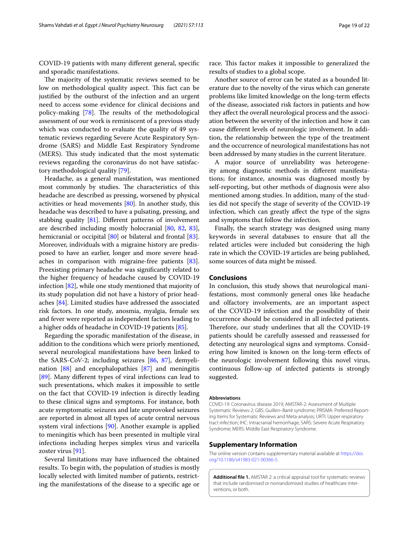COVID-19 patients with many diferent general, specifc and sporadic manifestations.

The majority of the systematic reviews seemed to be low on methodological quality aspect. This fact can be justifed by the outburst of the infection and an urgent need to access some evidence for clinical decisions and policy-making  $[78]$  $[78]$ . The results of the methodological assessment of our work is reminiscent of a previous study which was conducted to evaluate the quality of 49 systematic reviews regarding Severe Acute Respiratory Syndrome (SARS) and Middle East Respiratory Syndrome (MERS). This study indicated that the most systematic reviews regarding the coronavirus do not have satisfactory methodological quality [\[79](#page-21-7)].

Headache, as a general manifestation, was mentioned most commonly by studies. The characteristics of this headache are described as pressing, worsened by physical activities or head movements [\[80\]](#page-21-8). In another study, this headache was described to have a pulsating, pressing, and stabbing quality  $[81]$  $[81]$ . Different patterns of involvement are described including mostly holocranial [\[80,](#page-21-8) [82](#page-21-10), [83](#page-21-11)], hemicranial or occipital [\[80](#page-21-8)] or bilateral and frontal [\[83](#page-21-11)]. Moreover, individuals with a migraine history are predisposed to have an earlier, longer and more severe headaches in comparison with migraine-free patients [\[83](#page-21-11)]. Preexisting primary headache was signifcantly related to the higher frequency of headache caused by COVID-19 infection [\[82](#page-21-10)], while one study mentioned that majority of its study population did not have a history of prior headaches [\[84\]](#page-21-12). Limited studies have addressed the associated risk factors. In one study, anosmia, myalgia, female sex and fever were reported as independent factors leading to a higher odds of headache in COVID-19 patients [\[85\]](#page-21-13).

Regarding the sporadic manifestation of the disease, in addition to the conditions which were priorly mentioned, several neurological manifestations have been linked to the SARS-CoV-2; including seizures [\[86](#page-21-14), [87\]](#page-21-15), demyelination [\[88](#page-21-16)] and encephalopathies [[87\]](#page-21-15) and meningitis [[89\]](#page-21-17). Many diferent types of viral infections can lead to such presentations, which makes it impossible to settle on the fact that COVID-19 infection is directly leading to these clinical signs and symptoms. For instance, both acute symptomatic seizures and late unprovoked seizures are reported in almost all types of acute central nervous system viral infections [[90\]](#page-21-18). Another example is applied to meningitis which has been presented in multiple viral infections including herpes simplex virus and varicella zoster virus [[91](#page-21-19)].

Several limitations may have infuenced the obtained results. To begin with, the population of studies is mostly locally selected with limited number of patients, restricting the manifestations of the disease to a specifc age or

race. This factor makes it impossible to generalized the results of studies to a global scope.

Another source of error can be stated as a bounded literature due to the novelty of the virus which can generate problems like limited knowledge on the long-term efects of the disease, associated risk factors in patients and how they afect the overall neurological process and the association between the severity of the infection and how it can cause diferent levels of neurologic involvement. In addition, the relationship between the type of the treatment and the occurrence of neurological manifestations has not been addressed by many studies in the current literature.

A major source of unreliability was heterogeneity among diagnostic methods in diferent manifestations; for instance, anosmia was diagnosed mostly by self-reporting, but other methods of diagnosis were also mentioned among studies. In addition, many of the studies did not specify the stage of severity of the COVID-19 infection, which can greatly afect the type of the signs and symptoms that follow the infection.

Finally, the search strategy was designed using many keywords in several databases to ensure that all the related articles were included but considering the high rate in which the COVID-19 articles are being published, some sources of data might be missed.

# **Conclusions**

In conclusion, this study shows that neurological manifestations, most commonly general ones like headache and olfactory involvements, are an important aspect of the COVID-19 infection and the possibility of their occurrence should be considered in all infected patients. Therefore, our study underlines that all the COVID-19 patients should be carefully assessed and reassessed for detecting any neurological signs and symptoms. Considering how limited is known on the long-term efects of the neurologic involvement following this novel virus, continuous follow-up of infected patients is strongly suggested.

#### **Abbreviations**

COVID-19: Coronavirus disease 2019; AMSTAR-2: Assessment of Multiple Systematic Reviews-2; GBS: Guillen-Barré syndrome; PRISMA: Preferred Reporting Items for Systematic Reviews and Meta-analysis; URTI: Upper respiratory tract infection; IHC: Intracranial hemorrhage; SARS: Severe Acute Respiratory Syndrome; MERS: Middle East Respiratory Syndrome.

#### **Supplementary Information**

The online version contains supplementary material available at [https://doi.](https://doi.org/10.1186/s41983-021-00366-5) [org/10.1186/s41983-021-00366-5](https://doi.org/10.1186/s41983-021-00366-5).

<span id="page-18-0"></span>**Additional fle 1.** AMSTAR 2: a critical appraisal tool for systematic reviews that include randomised or nonrandomised studies of healthcare interventions, or both.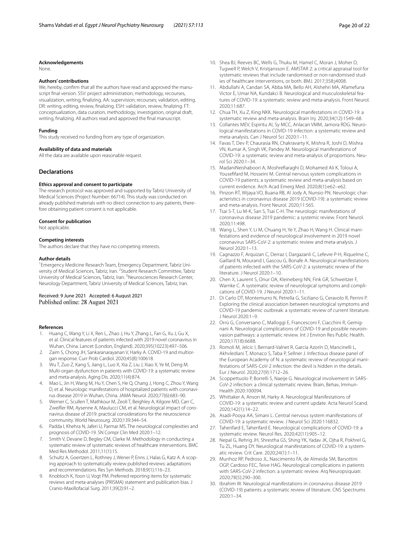#### **Acknowledgements**

None.

#### **Authors' contributions**

We, hereby, confirm that all the authors have read and approved the manuscript final version. SSV: project administration, methodology, recourses visualization, writing, fnalizing. AA: supervision; recourses; validation, editing. DR: writing, editing, review, fnalizing. ESH: validation, review, fnalizing. FT: conceptualization, data curation, methodology, investigation, original draft, writing, fnalizing. All authors read and approved the fnal manuscript.

#### **Funding**

This study received no funding from any type of organization.

#### **Availability of data and materials**

All the data are available upon reasonable request.

#### **Declarations**

#### **Ethics approval and consent to participate**

The research protocol was approved and supported by Tabriz University of Medical Sciences (Project Number: 66714). This study was conducted on already published materials with no direct connection to any patients, therefore obtaining patient consent is not applicable.

#### **Consent for publication**

Not applicable.

#### **Competing interests**

The authors declare that they have no competing interests.

#### **Author details**

<sup>1</sup> Emergency Medicine Research Team, Emergency Department, Tabriz University of Medical Sciences, Tabriz, Iran. <sup>2</sup> Student Research Committee, Tabriz University of Medical Sciences, Tabriz, Iran. <sup>3</sup> Neurosciences Research Center, Neurology Department, Tabriz University of Medical Sciences, Tabriz, Iran.

Received: 9 June 2021 Accepted: 6 August 2021 Published online: 28 August 2021

#### **References**

- <span id="page-19-0"></span>1. Huang C, Wang Y, Li X, Ren L, Zhao J, Hu Y, Zhang L, Fan G, Xu J, Gu X, et al. Clinical features of patients infected with 2019 novel coronavirus in Wuhan, China. Lancet (London, England). 2020;395(10223):497–506.
- <span id="page-19-1"></span>2. Zaim S, Chong JH, Sankaranarayanan V, Harky A. COVID-19 and multiorgan response. Curr Prob Cardiol. 2020;45(8):100618.
- <span id="page-19-2"></span>3. Wu T, Zuo Z, Kang S, Jiang L, Luo X, Xia Z, Liu J, Xiao X, Ye M, Deng M. Multi-organ dysfunction in patients with COVID-19: a systematic review and meta-analysis. Aging Dis. 2020;11(4):874.
- <span id="page-19-3"></span>4. Mao L, Jin H, Wang M, Hu Y, Chen S, He Q, Chang J, Hong C, Zhou Y, Wang D, et al. Neurologic manifestations of hospitalized patients with coronavirus disease 2019 in Wuhan, China. JAMA Neurol. 2020;77(6):683–90.
- 5. Werner C, Scullen T, Mathkour M, Zeoli T, Beighley A, Kilgore MD, Carr C, Zweifler RM, Aysenne A, Maulucci CM, et al. Neurological impact of coronavirus disease of 2019: practical considerations for the neuroscience community. World Neurosurg. 2020;139:344–54.
- <span id="page-19-4"></span>6. Padda I, Khehra N, Jaferi U, Parmar MS. The neurological complexities and prognosis of COVID-19. SN Compr Clin Med 2020:1–12.
- <span id="page-19-5"></span>7. Smith V, Devane D, Begley CM, Clarke M. Methodology in conducting a systematic review of systematic reviews of healthcare interventions. BMC Med Res Methodol. 2011;11(1):15.
- <span id="page-19-6"></span>8. Schultz A, Goertzen L, Rothney J, Wener P, Enns J, Halas G, Katz A. A scoping approach to systematically review published reviews: adaptations and recommendations. Res Syn Methods. 2018;9(1):116–23.
- <span id="page-19-7"></span>9. Knobloch K, Yoon U, Vogt PM. Preferred reporting items for systematic reviews and meta-analyses (PRISMA) statement and publication bias. J Cranio-Maxillofacial Surg. 2011;39(2):91–2.
- <span id="page-19-8"></span>10. Shea BJ, Reeves BC, Wells G, Thuku M, Hamel C, Moran J, Moher D, Tugwell P, Welch V, Kristjansson E. AMSTAR 2: a critical appraisal tool for systematic reviews that include randomised or non-randomised studies of healthcare interventions, or both. BMJ. 2017;358:j4008.
- <span id="page-19-9"></span>11. Abdullahi A, Candan SA, Abba MA, Bello AH, Alshehri MA, Afamefuna Victor E, Umar NA, Kundakci B. Neurological and musculoskeletal features of COVID-19: a systematic review and meta-analysis. Front Neurol. 2020;11:687.
- <span id="page-19-21"></span>12. Chua TH, Xu Z, King NKK. Neurological manifestations in COVID-19: a systematic review and meta-analysis. Brain Inj. 2020;34(12):1549–68.
- <span id="page-19-17"></span>13. Collantes MEV, Espiritu AI, Sy MCC, Anlacan VMM, Jamora RDG. Neurological manifestations in COVID-19 infection: a systematic review and meta-analysis. Can J Neurol Sci 2020:1–11.
- <span id="page-19-18"></span>14. Favas T, Dev P, Chaurasia RN, Chakravarty K, Mishra R, Joshi D, Mishra VN, Kumar A, Singh VK, Pandey M. Neurological manifestations of COVID-19: a systematic review and meta-analysis of proportions. Neurol Sci 2020:1–34.
- <span id="page-19-13"></span>15. MadaniNeishaboori A, Moshrefaraghi D, Mohamed Ali K, Toloui A, Youseffard M, Hosseini M. Central nervous system complications in COVID-19 patients; a systematic review and meta-analysis based on current evidence. Arch Acad Emerg Med. 2020;8(1):e62–e62.
- <span id="page-19-20"></span>16. Pinzon RT, Wijaya VO, Buana RB, Al Jody A, Nunsio PN. Neurologic characteristics in coronavirus disease 2019 (COVID-19): a systematic review and meta-analysis. Front Neurol. 2020;11:565.
- <span id="page-19-22"></span>17. Tsai S-T, Lu M-K, San S, Tsai C-H. The neurologic manifestations of coronavirus disease 2019 pandemic: a systemic review. Front Neurol. 2020;11:498.
- <span id="page-19-10"></span>18. Wang L, Shen Y, Li M, Chuang H, Ye Y, Zhao H, Wang H. Clinical manifestations and evidence of neurological involvement in 2019 novel coronavirus SARS-CoV-2: a systematic review and meta-analysis. J Neurol 2020:1–13.
- <span id="page-19-11"></span>19. Cagnazzo F, Arquizan C, Derraz I, Dargazanli C, Lefevre P-H, Riquelme C, Gaillard N, Mourand I, Gascou G, Bonafe A. Neurological manifestations of patients infected with the SARS-CoV-2: a systematic review of the literature. J Neurol 2020:1–10.
- <span id="page-19-27"></span>20. Chen X, Laurent S, Onur OA, Kleineberg NN, Fink GR, Schweitzer F, Warnke C. A systematic review of neurological symptoms and complications of COVID-19. J Neurol 2020:1–11.
- <span id="page-19-24"></span>21. Di Carlo DT, Montemurro N, Petrella G, Siciliano G, Ceravolo R, Perrini P. Exploring the clinical association between neurological symptoms and COVID-19 pandemic outbreak: a systematic review of current literature. J Neurol 2020:1–9.
- <span id="page-19-25"></span>22. Orrù G, Conversano C, Malloggi E, Francesconi F, Ciacchini R, Gemignani A. Neurological complications of COVID-19 and possible neuroinvasion pathways: a systematic review. Int J Environ Res Public Health. 2020;17(18):6688.
- <span id="page-19-28"></span>23. Romoli M, Jelcic I, Bernard-Valnet R, García Azorín D, Mancinelli L, Akhvlediani T, Monaco S, Taba P, Sellner J. Infectious disease panel of the European Academy of N: a systematic review of neurological manifestations of SARS-CoV-2 infection: the devil is hidden in the details. Eur J Neurol. 2020;27(9):1712–26.
- <span id="page-19-26"></span>24. Scoppettuolo P, Borrelli S, Naeije G. Neurological involvement in SARS-CoV-2 infection: a clinical systematic review. Brain, Behav, Immun-Health 2020:100094.
- <span id="page-19-12"></span>25. Whittaker A, Anson M, Harky A. Neurological Manifestations of COVID-19: a systematic review and current update. Acta Neurol Scand. 2020;142(1):14–22.
- <span id="page-19-14"></span>26. Asadi-Pooya AA, Simani L. Central nervous system manifestations of COVID-19: a systematic review. J Neurol Sci 2020:116832.
- <span id="page-19-15"></span>27. Taherifard E, Taherifard E. Neurological complications of COVID-19: a systematic review. Neurol Res. 2020;42(11):905–12.
- <span id="page-19-16"></span>28. Nepal G, Rehrig JH, Shrestha GS, Shing YK, Yadav JK, Ojha R, Pokhrel G, Tu ZL, Huang DY. Neurological manifestations of COVID-19: a systematic review. Crit Care. 2020;24(1):1–11.
- <span id="page-19-19"></span>29. Munhoz RP, Pedroso JL, Nascimento FA, de Almeida SM, Barsottini OGP, Cardoso FEC, Teive HAG. Neurological complications in patients with SARS-CoV-2 infection: a systematic review. Arq Neuropsiquiatr. 2020;78(5):290–300.
- <span id="page-19-23"></span>30. Ibrahim W. Neurological manifestations in coronavirus disease 2019 (COVID-19) patients: a systematic review of literature. CNS Spectrums 2020:1–34.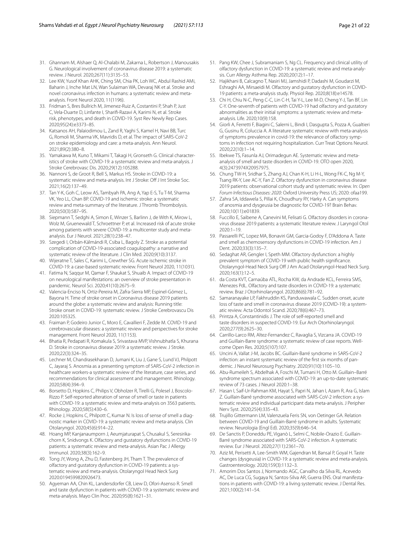- <span id="page-20-0"></span>31. Ghannam M, Alshaer Q, Al-Chalabi M, Zakarna L, Robertson J, Manousakis G. Neurological involvement of coronavirus disease 2019: a systematic review. J Neurol. 2020;267(11):3135–53.
- <span id="page-20-1"></span>32. Lee KW, Yusof Khan AHK, Ching SM, Chia PK, Loh WC, Abdul Rashid AMi, Baharin J, Inche Mat LN, Wan Sulaiman WA, Devaraj NK et al. Stroke and novel coronavirus infection in humans: a systematic review and metaanalysis. Front Neurol 2020, 11(1196).
- <span id="page-20-12"></span>33. Fridman S, Bres Bullrich M, Jimenez-Ruiz A, Costantini P, Shah P, Just C, Vela-Duarte D, Linfante I, Sharif-Razavi A, Karimi N, et al. Stroke risk, phenotypes, and death in COVID-19. Syst Rev Newly Rep Cases. 2020;95(24):e3373–85.
- <span id="page-20-5"></span>34. Katsanos AH, Palaiodimou L, Zand R, Yaghi S, Kamel H, Navi BB, Turc G, Romoli M, Sharma VK, Mavridis D, et al. The impact of SARS-CoV-2 on stroke epidemiology and care: a meta-analysis. Ann Neurol. 2021;89(2):380–8.
- <span id="page-20-7"></span>35. Yamakawa M, Kuno T, Mikami T, Takagi H, Gronseth G. Clinical characteristics of stroke with COVID-19: a systematic review and meta-analysis. J Stroke Cerebrovasc Dis. 2020;29(12):105288.
- <span id="page-20-13"></span>36. Nannoni S, de Groot R, Bell S, Markus HS. Stroke in COVID-19: a systematic review and meta-analysis. Int J Stroke: Off J Int Stroke Soc. 2021;16(2):137–49.
- <span id="page-20-2"></span>37. Tan Y-K, Goh C, Leow AS, Tambyah PA, Ang A, Yap E-S, Tu T-M, Sharma VK, Yeo LL, Chan BP. COVID-19 and ischemic stroke: a systematic review and meta-summary of the literature. J Thromb Thrombolysis. 2020;50(3):587–95.
- <span id="page-20-3"></span>38. Siepmann T, Sedghi A, Simon E, Winzer S, Barlinn J, de With K, Mirow L, Wolz M, Gruenewald T, Schroettner P, et al. Increased risk of acute stroke among patients with severe COVID-19: a multicenter study and metaanalysis. Eur J Neurol. 2021;28(1):238–47.
- <span id="page-20-4"></span>39. Szegedi I, Orbán-Kálmándi R, Csiba L, Bagoly Z. Stroke as a potential complication of COVID-19-associated coagulopathy: a narrative and systematic review of the literature. J Clin Med. 2020;9(10):3137.
- <span id="page-20-6"></span>40. Wijeratne T, Sales C, Karimi L, Crewther SG. Acute ischemic stroke in COVID-19: a case-based systematic review. Front Neurol 2020, 11(1031).
- <span id="page-20-8"></span>41. Fatima N, Saqqur M, Qamar F, Shaukat S, Shuaib A. Impact of COVID-19 on neurological manifestations: an overview of stroke presentation in pandemic. Neurol Sci. 2020;41(10):2675–9.
- <span id="page-20-9"></span>42. Valencia-Enciso N, Ortiz-Pereira M, Zafra-Sierra MP, Espinel-Gómez L, Bayona H. Time of stroke onset in Coronavirus disease 2019 patients around the globe: a systematic review and analysis: Running title: Stroke onset in COVID-19: systematic review. J Stroke Cerebrovascu Dis 2020:105325.
- <span id="page-20-10"></span>43. Fraiman P, Godeiro Junior C, Moro E, Cavallieri F, Zedde M. COVID-19 and cerebrovascular diseases: a systematic review and perspectives for stroke management. Front Neurol 2020, 11(1153).
- <span id="page-20-11"></span>44. Bhatia R, Pedapati R, Komakula S, Srivastava MVP, Vishnubhatla S, Khurana D. Stroke in coronavirus disease 2019: a systematic review. J Stroke. 2020;22(3):324–35.
- <span id="page-20-14"></span>45. Lechner M, Chandrasekharan D, Jumani K, Liu J, Gane S, Lund VJ, Philpott C, Jayaraj S. Anosmia as a presenting symptom of SARS-CoV-2 infection in healthcare workers-a systematic review of the literature, case series, and recommendations for clinical assessment and management. Rhinology. 2020;58(4):394–9.
- <span id="page-20-15"></span>46. Borsetto D, Hopkins C, Philips V, Obholzer R, Tirelli G, Polesel J, Boscolo-Rizzo P. Self-reported alteration of sense of smell or taste in patients with COVID-19: a systematic review and meta-analysis on 3563 patients. Rhinology. 2020;58(5):430–6.
- <span id="page-20-18"></span>47. Rocke J, Hopkins C, Philpott C, Kumar N. Is loss of sense of smell a diagnostic marker in COVID-19: a systematic review and meta-analysis. Clin Otolaryngol. 2020;45(6):914–22.
- <span id="page-20-28"></span>48. Hoang MP, Kanjanaumporn J, Aeumjaturapat S, Chusakul S, Seresirikachorn K, Snidvongs K. Olfactory and gustatory dysfunctions in COVID-19 patients: a systematic review and meta-analysis. Asian Pac J Allergy Immunol. 2020;38(3):162–9.
- <span id="page-20-23"></span>49. Tong JY, Wong A, Zhu D, Fastenberg JH, Tham T. The prevalence of olfactory and gustatory dysfunction in COVID-19 patients: a systematic review and meta-analysis. Otolaryngol Head Neck Surg 2020:0194599820926473.
- <span id="page-20-30"></span>50. Agyeman AA, Chin KL, Landersdorfer CB, Liew D, Ofori-Asenso R. Smell and taste dysfunction in patients with COVID-19: a systematic review and meta-analysis. Mayo Clin Proc. 2020;95(8):1621–31.
- <span id="page-20-31"></span>51. Pang KW, Chee J, Subramaniam S, Ng CL. Frequency and clinical utility of olfactory dysfunction in COVID-19: a systematic review and meta-analysis. Curr Allergy Asthma Rep. 2020;20(12):1–17.
- <span id="page-20-29"></span>52. Hajikhani B, Calcagno T, Nasiri MJ, Jamshidi P, Dadashi M, Goudarzi M, Eshraghi AA, Mirsaeidi M. Olfactory and gustatory dysfunction in COVID-19 patients: a meta-analysis study. Physiol Rep. 2020;8(18):e14578.
- <span id="page-20-25"></span>53. Chi H, Chiu N-C, Peng C-C, Lin C-H, Tai Y-L, Lee M-D, Cheng Y-J, Tan BF, Lin C-Y. One-seventh of patients with COVID-19 had olfactory and gustatory abnormalities as their initial symptoms: a systematic review and metaanalysis. Life. 2020;10(9):158.
- <span id="page-20-20"></span>54. Giorli A, Ferretti F, Biagini C, Salerni L, Bindi I, Dasgupta S, Pozza A, Gualtieri G, Gusinu R, Coluccia A. A literature systematic review with meta-analysis of symptoms prevalence in covid-19: the relevance of olfactory symptoms in infection not requiring hospitalization. Curr Treat Options Neurol. 2020;22(10):1–14.
- <span id="page-20-16"></span>55. Ibekwe TS, Fasunla AJ, Orimadegun AE. Systematic review and metaanalysis of smell and taste disorders in COVID-19. OTO open 2020, 4(3):2473974X20957975.
- <span id="page-20-17"></span>56. Chung TW-H, Sridhar S, Zhang AJ, Chan K-H, Li H-L, Wong FK-C, Ng M-Y, Tsang RK-Y, Lee AC-Y, Fan Z. Olfactory dysfunction in coronavirus disease 2019 patients: observational cohort study and systematic review. In: *Open Forum Infectious Diseases: 2020*: Oxford University Press US; 2020: ofaa199.
- <span id="page-20-19"></span>57. Zahra SA, Iddawela S, Pillai K, Choudhury RY, Harky A. Can symptoms of anosmia and dysgeusia be diagnostic for COVID-19? Brain Behav. 2020;10(11):e01839.
- <span id="page-20-21"></span>58. Fuccillo E, Saibene A, Canevini M, Felisati G. Olfactory disorders in coronavirus disease 2019 patients: a systematic literature review. J Laryngol Otol 2020:1–19.
- <span id="page-20-22"></span>59. Passarelli PC, Lopez MA, Bonaviri GM, Garcia-Godoy F, D'Addona A. Taste and smell as chemosensory dysfunctions in COVID-19 infection. Am J Dent. 2020;33(3):135–7.
- <span id="page-20-24"></span>60. Sedaghat AR, Gengler I, Speth MM. Olfactory dysfunction: a highly prevalent symptom of COVID-19 with public health signifcance. Otolaryngol-Head Neck Surg Of J Am Acad Otolaryngol-Head Neck Surg. 2020;163(1):12–5.
- <span id="page-20-26"></span>61. da Costa KVT, Carnaúba ATL, Rocha KW, da Andrade KCL, Ferreira SMS, Menezes PdL. Olfactory and taste disorders in COVID-19: a systematic review. Braz J Otorhinolaryngol. 2020;86(6):781–92.
- <span id="page-20-27"></span>62. Samaranayake LP, Fakhruddin KS, Panduwawala C. Sudden onset, acute loss of taste and smell in coronavirus disease 2019 (COVID-19): a systematic review. Acta Odontol Scand. 2020;78(6):467–73.
- <span id="page-20-32"></span>63. Printza A, Constantinidis J. The role of self-reported smell and taste disorders in suspected COVID-19. Eur Arch Otorhinolaryngol. 2020;277(9):2625–30.
- <span id="page-20-33"></span>64. Carrillo-Larco RM, Altez-Fernandez C, Ravaglia S, Vizcarra JA. COVID-19 and Guillain-Barre syndrome: a systematic review of case reports. Wellcome Open Res. 2020;5(107):107.
- <span id="page-20-40"></span>65. Uncini A, Vallat J-M, Jacobs BC. Guillain-Barré syndrome in SARS-CoV-2 infection: an instant systematic review of the first six months of pandemic. J Neurol Neurosurg Psychiatry. 2020;91(10):1105–10.
- <span id="page-20-34"></span>66. Abu-Rumeileh S, Abdelhak A, Foschi M, Tumani H, Otto M. Guillain–Barré syndrome spectrum associated with COVID-19: an up-to-date systematic review of 73 cases. J Neurol 2020:1–38.
- <span id="page-20-35"></span>67. Hasan I, Saif-Ur-Rahman KM, Hayat S, Papri N, Jahan I, Azam R, Ara G, Islam Z. Guillain-Barré syndrome associated with SARS-CoV-2 infection: a systematic review and individual participant data meta-analysis. J Peripher Nerv Syst. 2020;25(4):335–43.
- <span id="page-20-36"></span>68. Trujillo Gittermann LM, Valenzuela Feris SN, von Oetinger GA. Relation between COVID-19 and Guillain-Barré syndrome in adults. Systematic review. Neurologia (Engl Ed). 2020;35(9):646–54.
- <span id="page-20-37"></span>69. De Sanctis P, Doneddu PE, Viganò L, Selmi C, Nobile-Orazio E. Guillain-Barré syndrome associated with SARS-CoV-2 infection. A systematic review. Eur J Neurol. 2020;27(11):2361–70.
- <span id="page-20-38"></span>70. Aziz M, Perisetti A, Lee-Smith WM, Gajendran M, Bansal P, Goyal H. Taste changes (dysgeusia) in COVID-19: a systematic review and meta-analysis. Gastroenterology. 2020;159(3):1132–3.
- <span id="page-20-39"></span>71. Amorim Dos Santos J, Normando AGC, Carvalho da Silva RL, Acevedo AC, De Luca CG, Sugaya N, Santos-Silva AR, Guerra ENS. Oral manifestations in patients with COVID-19: a living systematic review. J Dental Res. 2021;100(2):141–54.